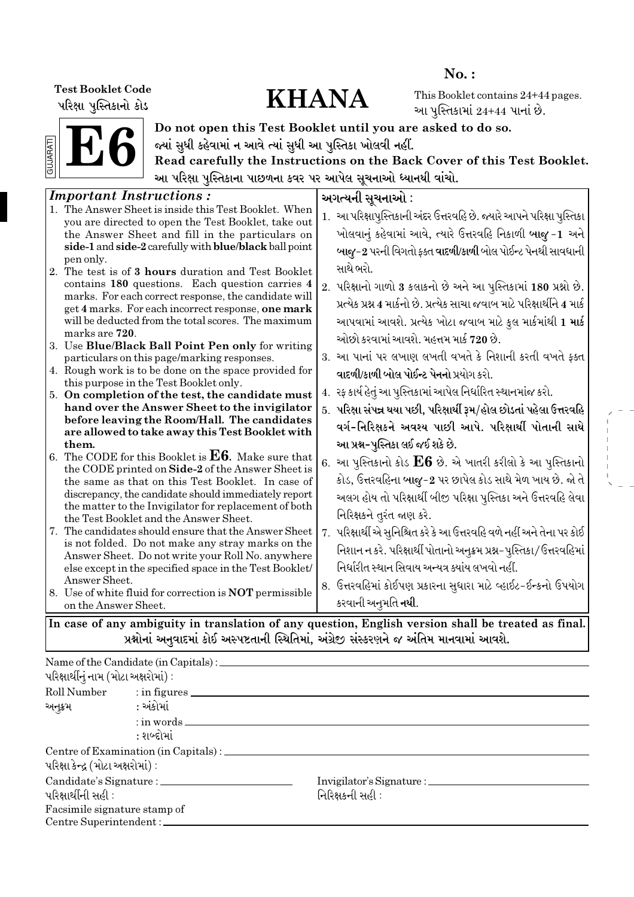પરિક્ષા પુસ્તિકાનો કોડ

# Test Booklet Code<br>
What Washington Code<br>
WHANA

No. :

This Booklet contains 24+44 pages. આ પુસ્તિકામાં  $24+44$  પાનાં છે.



Do not open this Test Booklet until you are asked to do so. જ્યાં સુધી કહેવામાં ન આવે ત્યાં સુધી આ પુસ્તિકા ખોલવી નહીં.

Read carefully the Instructions on the Back Cover of this Test Booklet. આ પરિક્ષા પુસ્તિકાના પાછળના કવર પર આપેલ સૂચનાઓ ધ્યાનથી વાંચો.

| <b>Important Instructions:</b>                                                                                                                                                                                                                                                                             |  | અગત્યની સૂચનાઓ :                                                                                                                                                                                                                                                                                                                           |  |  |  |  |
|------------------------------------------------------------------------------------------------------------------------------------------------------------------------------------------------------------------------------------------------------------------------------------------------------------|--|--------------------------------------------------------------------------------------------------------------------------------------------------------------------------------------------------------------------------------------------------------------------------------------------------------------------------------------------|--|--|--|--|
| 1. The Answer Sheet is inside this Test Booklet. When<br>you are directed to open the Test Booklet, take out<br>the Answer Sheet and fill in the particulars on<br>side-1 and side-2 carefully with blue/black ball point                                                                                  |  | 1. આ પરિક્ષાપુસ્તિકાની અંદર ઉત્તરવહિ છે. જ્યારે આપને પરિક્ષા પુસ્તિકા<br>ખોલવાનું કહેવામાં આવે, ત્યારે ઉત્તરવહિ નિકાળી બાજુ-1 અને                                                                                                                                                                                                          |  |  |  |  |
| pen only.<br>2. The test is of 3 hours duration and Test Booklet<br>contains 180 questions. Each question carries 4<br>marks. For each correct response, the candidate will<br>get 4 marks. For each incorrect response, one mark<br>will be deducted from the total scores. The maximum<br>marks are 720. |  | બાજુ-2 પરની વિગતો ફક્ત વાદળી/કાળી બોલ પોઈન્ટ પેનથી સાવધાની<br>સાથે ભરો.<br>2. પરિક્ષાનો ગાળો 3 કલાકનો છે અને આ પુસ્તિકામાં 180 પ્રશ્નો છે.<br>પ્રત્યેક પ્રશ્ન 4 માર્કનો છે. પ્રત્યેક સાચા જવાબ માટે પરિક્ષાર્થીને 4 માર્ક<br>આપવામાં આવશે. પ્રત્યેક ખોટા જવાબ માટે કુલ માર્કમાંથી 1 <b>માર્ક</b><br>ઓછો કરવામાં આવશે. મહત્તમ માર્ક 720 છે. |  |  |  |  |
| 3. Use Blue/Black Ball Point Pen only for writing<br>particulars on this page/marking responses.                                                                                                                                                                                                           |  | 3. આ પાનાં પર લખાણ લખતી વખતે કે નિશાની કરતી વખતે ફક્ત                                                                                                                                                                                                                                                                                      |  |  |  |  |
| 4. Rough work is to be done on the space provided for<br>this purpose in the Test Booklet only.                                                                                                                                                                                                            |  | વાદળી/કાળી બોલ પોઈન્ટ પેનનો પ્રયોગ કરો.                                                                                                                                                                                                                                                                                                    |  |  |  |  |
| 5. On completion of the test, the candidate must<br>hand over the Answer Sheet to the invigilator                                                                                                                                                                                                          |  | 4. રફ કાર્ય હેતું આ પુસ્તિકામાં આપેલ નિર્ધારિત સ્થાનમાંજ કરો.                                                                                                                                                                                                                                                                              |  |  |  |  |
| before leaving the Room/Hall. The candidates<br>are allowed to take away this Test Booklet with                                                                                                                                                                                                            |  | 5. પરિક્ષા સંપન્ન થયા પછી, પરિક્ષાર્થી રૂમ/હોલ છોડતાં પહેલા ઉત્તરવહિ<br>વર્ગ-નિરિક્ષકને અવશ્ય પાછી આપે. પરિક્ષાર્થી પોતાની સાથે                                                                                                                                                                                                            |  |  |  |  |
| them.<br>6. The CODE for this Booklet is $E6$ . Make sure that<br>the CODE printed on Side-2 of the Answer Sheet is<br>the same as that on this Test Booklet. In case of<br>discrepancy, the candidate should immediately report<br>the matter to the Invigilator for replacement of both                  |  | આ પ્રશ્ન-પુસ્તિકા લઈ જઈ શકે છે.<br>6. આ પુસ્તિકાનો કોડ ${\rm E}6$ છે. એ ખાતરી કરીલો કે આ પુસ્તિકાનો<br>કોડ, ઉત્તરવહિના બાજુ-2 પર છાપેલ કોડ સાથે મેળ ખાય છે. જો તે<br>અલગ હોય તો પરિક્ષાર્થી બીજી પરિક્ષા પુસ્તિકા અને ઉત્તરવહિ લેવા<br>નિરિક્ષકને તુરંત જાણ કરે.                                                                           |  |  |  |  |
| the Test Booklet and the Answer Sheet.<br>7. The candidates should ensure that the Answer Sheet<br>is not folded. Do not make any stray marks on the<br>Answer Sheet. Do not write your Roll No. anywhere<br>else except in the specified space in the Test Booklet/<br>Answer Sheet.                      |  | 7. પરિક્ષાર્થી એ સુનિશ્ચિત કરે કે આ ઉત્તરવહિ વળે નહીં અને તેના પર કોઈ<br>નિશાન ન કરે. પરિક્ષાર્થી પોતાનો અનુક્રમ પ્રશ્ન-પુસ્તિકા/ઉત્તરવહિમાં<br>નિર્ધારીત સ્થાન સિવાય અન્યત્ર ક્યાંય લખવો નહીં.<br>8. ઉત્તરવહિમાં કોઈપણ પ્રકારના સુધારા માટે વ્હાઈટ-ઈન્કનો ઉપયોગ                                                                           |  |  |  |  |
| 8. Use of white fluid for correction is <b>NOT</b> permissible<br>on the Answer Sheet.                                                                                                                                                                                                                     |  | કરવાની અનુમતિ <b>નથી</b> .                                                                                                                                                                                                                                                                                                                 |  |  |  |  |
|                                                                                                                                                                                                                                                                                                            |  |                                                                                                                                                                                                                                                                                                                                            |  |  |  |  |
| In case of any ambiguity in translation of any question, English version shall be treated as final.<br>પ્રશ્નોનાં અનુવાદમાં કોઈ અસ્પષ્ટતાની સ્થિતિમાં, અંગ્રેજી સંસ્કરણને જ અંતિમ માનવામાં આવશે.                                                                                                           |  |                                                                                                                                                                                                                                                                                                                                            |  |  |  |  |

Name of the Candidate (in Capitals) :  $\alpha$ રિક્ષાર્થીનું નામ (મોટા અક્ષરોમાં) : Roll Number : in figures અનુક્રમ : અંકોમાં : in words : શબ્દોમાં Centre of Examination (in Capitals) :  $u$ રિક્ષા $s$ ન્દ્ર (મોટા અક્ષરોમાં): Candidate's Signature : Invigilator's Signature :  $\alpha$ ેપરિક્ષાર્થીની સહી : ratio is reported to the control of the control of  $\alpha$ Facsimile signature stamp of Centre Superintendent :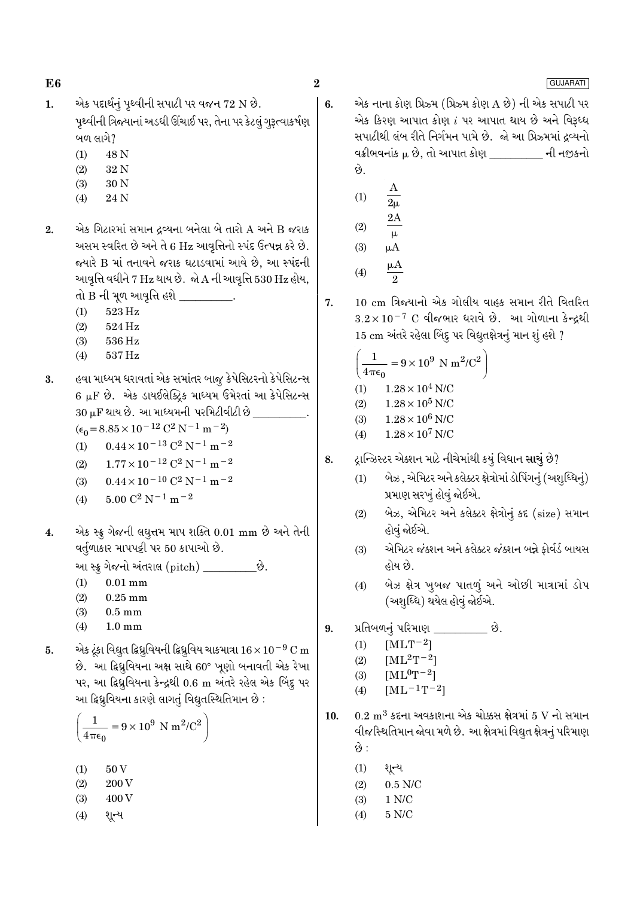6.

GUJARATI

- એક પદાર્થનું પૃથ્વીની સપાટી પર વજન 72 N છે.  $\mathbf{1}$ . પૃથ્વીની ત્રિજ્યાનાં અડધી ઊંચાઈ પર, તેના પર કેટલું ગુરૂત્વાકર્ષણ બળ લાગે?
	- 48 N  $(1)$
	- 32 N  $(2)$
	- $(3)$ 30 N
	- $(4)$ 24 N
- એક ગિટારમાં સમાન ઢવ્યના બનેલા બે તારો A અને B જરાક  $\overline{2}$ . અસમ સ્વરિત છે અને તે 6 Hz આવૃત્તિનો સ્પંદ ઉત્પન્ન કરે છે. જયારે B માં તનાવને જરાક ઘટાડવામાં આવે છે, આ સ્પંદની આવૃત્તિ વધીને 7 Hz થાય છે. જો A ની આવૃત્તિ 530 Hz હોય, તો B ની મૂળ આવૃત્તિ હશે \_\_\_\_\_\_
	- $523\,\mathrm{Hz}$
	- $(1)$  $(2)$ 524 Hz
	- 536 Hz  $(3)$
	- 537 Hz  $(4)$

હવા માધ્યમ ધરાવતાં એક સમાંતર બાજુ કેપેસિટરનો કેપેસિટન્સ 3. 6 µF છે. એક ડાયઈલેક્ટ્રિક માધ્યમ ઉમેરતાં આ કેપેસિટન્સ 30 µF થાય છે. આ માધ્યમની પરમિટીવીટી છે

 $(\epsilon_0 = 8.85 \times 10^{-12} \text{ C}^2 \text{ N}^{-1} \text{ m}^{-2})$ 

- $0.44 \times 10^{-13}$  C<sup>2</sup> N<sup>-1</sup> m<sup>-2</sup>  $(1)$
- $1.77 \times 10^{-12}$  C<sup>2</sup> N<sup>-1</sup> m<sup>-2</sup>  $(2)$
- $0.44 \times 10^{-10}$  C<sup>2</sup> N<sup>-1</sup> m<sup>-2</sup>  $(3)$
- $5.00 C^2 N^{-1} m^{-2}$  $(4)$
- એક સ્ક્રૂ ગેજની લઘુત્તમ માપ શક્તિ 0.01 mm છે અને તેની  $\overline{4}$ . વર્તુળાકાર માપપટ્ટી પર 50 કાપાઓ છે.

આ સ્ક્રુ ગેજનો અંતરાલ (pitch) \_\_\_\_\_\_\_

- $(1)$  $0.01$  mm
- $(2)$  $0.25$  mm
- $(3)$  $0.5\;\mathrm{mm}$
- $(4)$  $1.0 \text{ mm}$
- એક ટૂંકા વિદ્યુત દ્વિધ્રુવિયની દ્વિધ્રુવિય ચાકમાત્રા 16 $\times$  10 $^{-9}$  C m 5. છે. આ ફિધ્રુવિયના અક્ષ સાથે 60° ખૂણો બનાવતી એક રેખા પર, આ ફિધ્રુવિયના કેન્દ્રથી 0.6 m અંતરે રહેલ એક બિંદુ પર આ દ્વિધ્રુવિયના કારણે લાગતું વિદ્યુતસ્થિતિમાન છે :

$$
\left(\frac{1}{4\pi\epsilon_0} = 9 \times 10^9 \text{ N m}^2/\text{C}^2\right)
$$

- $(1)$ 50 V
- $(2)$ 200 V
- $(3)$ 400 V
- શૃન્ય  $(4)$

એક નાના કોણ પ્રિઝ્મ (પ્રિઝ્મ કોણ A છે) ની એક સપાટી પર એક કિરણ આપાત કોણ  $i$  પર આપાત થાય છે અને વિરૂધ્ધ સપાટીથી લંબ રીતે નિર્ગમન પામે છે. જો આ પ્રિઝ્મમાં દવ્યનો વક્રીભવનાંક  $\mu$  છે, તો આપાત કોણ લાકી માં ની નજીકનો છે.

- $(1)$  $2\mu$  $2A$
- $(2)$  $\mu$  $(3)$  $\mu A$
- $\mu A$  $(4)$  $\mathfrak{D}$
- 10 cm ત્રિજયાનો એક ગોલીય વાહક સમાન રીતે વિતરિત  $\overline{7}$ .  $3.2\times10^{-7}$  C વીજભાર ધરાવે છે. આ ગોળાના કેન્દ્રથી 15 cm અંતરે રહેલા બિંદૂ પર વિદ્યુતક્ષેત્રનું માન શું હશે ?

$$
\left(\frac{1}{4\pi\epsilon_0} = 9 \times 10^9 \text{ N m}^2/\text{C}^2\right)
$$
  
(1) 1.28 × 10<sup>4</sup> N/C  
(2) 1.38 × 10<sup>5</sup> N/C

 $1.28 \times 10^5$  N/C  $(2)$  $1.28 \times 10^6$  N/C

- $(3)$  $1.28 \times 10^7$  N/C  $(4)$
- દ્રાન્ઝિસ્ટર એક્શન માટે નીચેમાંથી કયું વિધાન સાચું છે? 8.
	- બેઝ , એમિટર અને કલેક્ટર ક્ષેત્રોમાં ડોપિંગનું (અશુધ્ધિનું)  $(1)$ પ્રમાણ સરખું હોવું જોઈએ.
	- બેઝ, એમિટર અને કલેક્ટર ક્ષેત્રોનું કદ (size) સમાન  $(2)$ હોવું જોઈએ.
	- એમિટર જંક્શન અને કલેક્ટર જંક્શન બન્ને ફોર્વર્ડ બાયસ  $(3)$ હોય છે.
	- બેઝ ક્ષેત્ર ખુબજ પાતળું અને ઓછી માત્રામાં ડોપ  $(4)$ (અશુધ્ધિ) થયેલ હોવું જોઈએ.
- $\mathbf{q}$ પ્રતિબળનું પરિમાણ ે છે.
	- $[MLT^{-2}]$  $(1)$
	- $[ML^2T^{-2}]$  $(2)$
	- $(3)$  $[ML^0T^{-2}]$
	- $(4)$  $[ML^{-1}T^{-2}]$
- $10.$  $0.2~\mathrm{m}^{3}$  કદના અવકાશના એક ચોક્કસ ક્ષેત્રમાં  $5~\mathrm{V}$  નો સમાન વીજસ્થિતિમાન જોવા મળે છે. આ ક્ષેત્રમાં વિદ્યુત ક્ષેત્રનું પરિમાણ છે :
	- $(1)$ શૃન્ય
	- $0.5$  N/C  $(2)$
	- $1 N/C$  $(3)$
	- $5 N/C$  $(4)$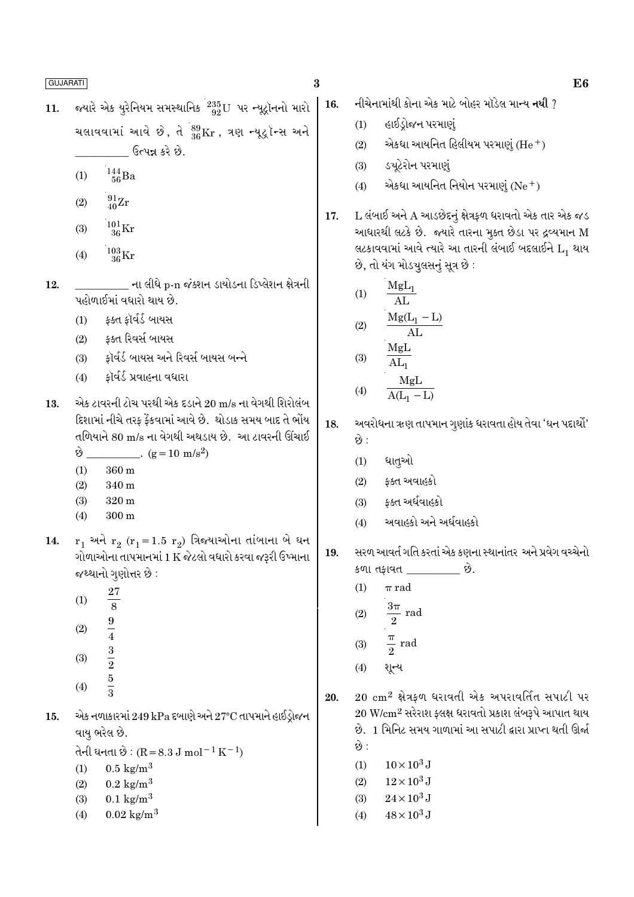- જ્યારે એક યુરેનિયમ સમસ્થાનિક<sup>ં235</sup> $_{92}^{\rm 235}$ U પર ન્યૂટ્રૉનનો મારો  $11.$ ચલાવવામાં આવે છે, તે  $^{89}_{36}\text{Kr}$ , ત્રણ ન્યૂટ્રૉન્સ અને ઉત્પન્ન કરે છે.
	- $\frac{144}{56}$ Ba  $(1)$
	- $^{91}_{40}Zr$  $(2)$
	- $^{101}_{36}\rm{Kr}$  $(3)$
	- $^{103}_{36}\mathrm{Kr}$  $(4)$
- \_\_ ના લીધે p-n જંક્શન ડાયોડના ડિપ્લેશન ક્ષેત્રની 12. પહોળાઈમાં વધારો થાય છે.
	- $(1)$ ફ્ક્ત ફૉર્વર્ડ બાયસ
	- કક્ત રિવર્સ બાયસ  $(2)$
	- કૉર્વર્ડ બાયસ અને રિવર્સ બાયસ બન્ને  $(3)$
	- કૉર્વર્ડ પ્રવાહના વધારા  $(4)$
- એક ટાવરની ટોચ પરથી એક દડાને 20 m/s ના વેગથી શિરોલંબ 13. દિશામાં નીચે તરફ ફેંકવામાં આવે છે. થોડાક સમય બાદ તે ભોંય તળિયાને 80 m/s ના વેગથી અથડાય છે. આ ટાવરની ઊંચાઈ  $\dot{\vartheta}$  (g = 10 m/s<sup>2</sup>)
	- $360 \text{ m}$  $(1)$
	- 340 m  $(2)$
	- $320 m$  $(3)$
	- $300 \text{ m}$  $(4)$
- $r_1$  અને  $r_2$  ( $r_1$ =1.5  $r_2$ ) ત્રિજ્યાઓના તાંબાના બે ઘન 14. ગોળાઓના તાપમાનમાં 1 K જેટલો વધારો કરવા જરૂરી ઉષ્માના જથ્થાનો ગુણોત્તર છે :
	- 27  $(1)$  $\frac{8}{3}$ <br> $\frac{9}{4}$ <br> $\frac{3}{2}$ <br> $\frac{5}{3}$  $(2)$  $(3)$
	- $(4)$
- એક નળાકારમાં 249 kPa દબાણે અને 27°C તાપમાને હાઈડ્રોજન 15. વાય ભરેલ છે.

તેની ધનતા છે:  $(R = 8.3 J \text{ mol}^{-1} \text{ K}^{-1})$ 

- $0.5 \text{ kg/m}^3$  $(1)$
- $0.2 \text{ kg/m}^3$  $(2)$
- $(3)$  $0.1 \text{ kg/m}^3$
- $0.02 \text{ kg/m}^3$  $(4)$
- $\bf{3}$
- 
- નીચેનામાંથી કોના એક માટે બોહર મૉડેલ મા<del>ન્</del>ય **નથી** ? 16.
	- $(1)$ હાઈડ્રોજન પરમાણું
	- એકધા આયનિત હિલીયમ પરમાણું  $(He<sup>+</sup>)$  $(2)$
	- ડચૂટેરોન પરમાણું  $(3)$
	- એકધા આયનિત નિયોન પરમાણું  $(\mathrm{Ne}^+)$  $(4)$
- $L$  લંબાઈ અને  $A$  આડછેદનું ક્ષેત્રફળ ધરાવતો એક તાર એક જડ 17. આધારથી લટકે છે. જ્યારે તારના મૂક્ત છેડા પર દ્રવ્યમાન M લટકાવવામાં આવે ત્યારે આ તારની લંબાઈ બદલાઈને  $L_1$  થાય છે, તો યંગ મોડચલસનું સૂત્ર છે:

(1) 
$$
\frac{MgL_1}{AL}
$$
  
(2) 
$$
\frac{Mg(L_1 - L)}{AL}
$$
  
(3) 
$$
\frac{MgL}{AL}
$$

$$
(4) \quad \begin{array}{c}\n\text{AL}_1 \\
\text{MgL} \\
\text{A(L}_2 - \text{L})\n\end{array}
$$

- 18. અવરોધના ઋણ તાપમાન ગુણાંક ધરાવતા હોય તેવા 'ઘન પદાર્થો' છે :
	- ધાતૃઓ  $(1)$
	- કક્ત અવાહકો  $(2)$
	- કક્ત અર્ધવાહકો  $(3)$
	- અવાહકો અને અર્ધવાહકો  $(4)$

સરળ આવર્ત ગતિ કરતાં એક કણના સ્થાનાંતર અને પ્રવેગ વચ્ચેનો 19. કળા તકાવત છે.

- $(1)$  $\pi$  rad
- $\frac{3\pi}{2}$  rad  $(2)$
- $\frac{\pi}{2}$  rad  $(3)$
- $(4)$ શૂન્ય

 $20\,$  cm<sup>2</sup> ક્ષેત્રકળ ધરાવતી એક અપરાવર્તિત સપાટી પર 20.  $20 \text{ W/cm}^2$  સરેરાશ ફ્લક્ષ ધરાવતો પ્રકાશ લંબરૂપે આપાત થાય છે. 1 મિનિટ સમય ગાળામાં આ સપાટી દ્વારા પ્રાપ્ત થતી ઊર્જા છે :

- $10 \times 10^3$  J  $(1)$
- $12 \times 10^3$  J  $(2)$
- $24\times10^3\,{\rm J}$  $(3)$
- $48 \times 10^3$  J  $(4)$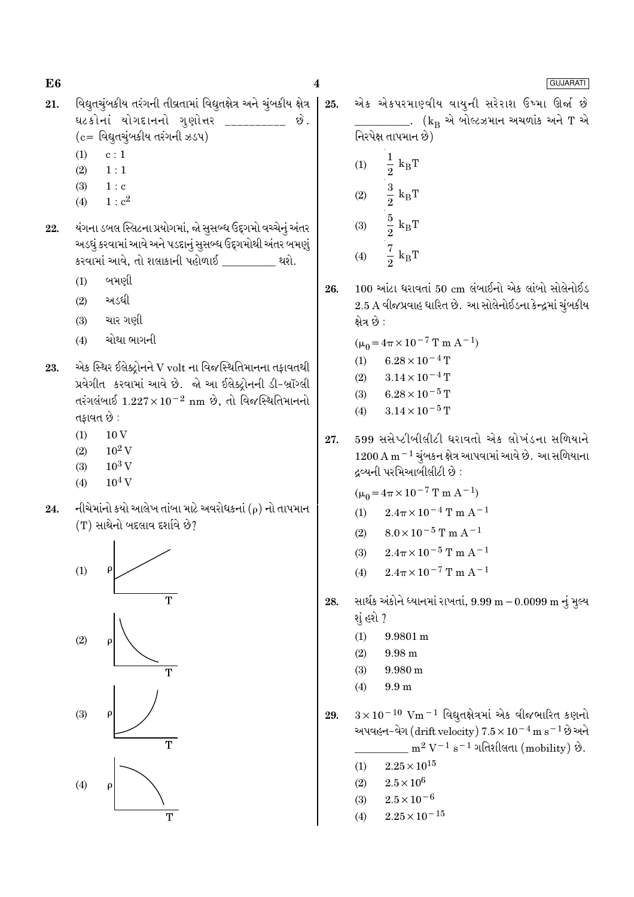$\overline{\mathbf{4}}$ 

E<sub>6</sub>

- વિદ્યુતચુંબકીય તરંગની તીવ્રતામાં વિદ્યુતક્ષેત્ર અને ચુંબકીય ક્ષેત્ર 21. ઘટકોનાં યોગદાનનો ગુણોત્તર છે.
	- $(c =$  વિદ્યુતચુંબકીય તરંગની ઝડપ)
	- $(1)$  $c:1$
	- $(2)$  $1:1$  $(3)$  $1 : c$
	- $1 : c<sup>2</sup>$  $(4)$
- 22. યંગના ડબલ સ્લિટના પ્રયોગમાં, જો સુસબ્ધ ઉદ્દગમો વચ્ચેનું અંતર અડધું કરવામાં આવે અને પડદાનું સુસબ્ધ ઉદ્દગમોથી અંતર બમણું કરવામાં આવે, તો શલાકાની પહોળાઈ \_\_\_\_\_\_\_ થશે.
	- બમણી  $(1)$
	- $(2)$ અડધી
	- $(3)$ ચાર ગણી
	- ચોથા ભાગની  $(4)$
- એક સ્થિર ઈલેક્ટોનને V volt ના વિજસ્થિતિમાનના તકાવતથી 23. પ્રવેગીત કરવામાં આવે છે. જો આ ઈલેક્ટ્રોનની ડી-બ્રૉગ્લી તરંગલંબાઈ  $1.227 \times 10^{-2}$  nm છે, તો વિજસ્થિતિમાનનો તકાવત છે :
	- $10V$  $(1)$
	- $10^2$  V  $(2)$
	- $10^3$  V  $(3)$
	- $(4)$  $10^4$  V
- નીચેમાંનો કયો આલેખ તાંબા માટે અવરોધકનાં ( $\rho$ ) નો તાપમાન  $24.$  $(T)$  સાથેનો બદલાવ દર્શાવે છે?



એક એકપરમાણ્વીય વાયુની સરેરાશ ઉષ્મા ઊર્જા છે 25. \_\_\_\_. ( $\rm{k_{\rm B}}$  એ બોલ્ટઝમાન અચળાંક અને  $\rm{T}$  એ નિરપેક્ષ તાપમાન છે)  $\frac{1}{2}~\text{k}_{\text{B}}\text{T}$  $(1)$ 

- $\frac{3}{2}$  $k_B T$  $(2)$  $\frac{5}{2}$  $k_BT$  $(3)$  $rac{7}{2}$  k<sub>B</sub>T  $(4)$
- $100$  આંટા ધરાવતાં  $50 \text{ cm}$  લંબાઈનો એક લાંબો સોલેનોઈડ 26. 2.5 A વીજપ્રવાહ ધારિત છે. આ સોલેનોઈડના કેન્દ્રમાં ચુંબકીય ક્ષેત્ર છે :
	- $(\mu_0 = 4\pi \times 10^{-7} \text{ T m A}^{-1})$
	- $6.28 \times 10^{-4}$  T  $(1)$
	- $3.14 \times 10^{-4}$  T  $(2)$
	- $6.28 \times 10^{-5}$  T  $(3)$
	- $3.14 \times 10^{-5}$  T  $(4)$
- 599 સસેપ્ટીબીલીટી ધરાવતો એક લોખંડના સળિયાને 27.  $1200\,\mathrm{A\,m^{-1}}$ ચુંબકન ક્ષેત્ર આપવામાં આવે છે. આ સળિયાના દ્રવ્યની પરમિઆબીલીટી છે :

 $(\mu_0 = 4\pi \times 10^{-7} \text{ T m A}^{-1})$ 

- $2.4\pi\times10^{-4}$  T m  $\rm{A}^{-1}$  $(1)$
- $8.0 \times 10^{-5}$  T m A<sup>-1</sup>  $(2)$
- $2.4\pi \times 10^{-5}$  T m A<sup>-1</sup>  $(3)$
- $2.4\pi \times 10^{-7}$  T m A<sup>-1</sup>  $(4)$
- સાર્થક અંકોને ધ્યાનમાં રાખતાં, 9.99 m 0.0099 m નું મુલ્ય 28. શું હશે ?
	- $9.9801 m$  $(1)$
	- $9.98<sub>m</sub>$  $(2)$
	- $(3)$ 9.980 m
	- $9.9<sub>m</sub>$  $(4)$

 $3 \times 10^{-10}$  Vm<sup>-1</sup> વિદ્યુતક્ષેત્રમાં એક વીજભારિત કણનો 29. અપવહન-વેગ (drift velocity)  $7.5 \times 10^{-4}$  m s<sup>-1</sup> છે અને  $\frac{1}{2}$  m<sup>2</sup> V<sup>-1</sup> s<sup>-1</sup> ગતિશીલતા (mobility) છે.

- $2.25 \times 10^{15}$  $(1)$
- $2.5\times10^6$  $(2)$
- $2.5 \times 10^{-6}$  $(3)$
- $2.25 \times 10^{-15}$  $(4)$

### GUJARATI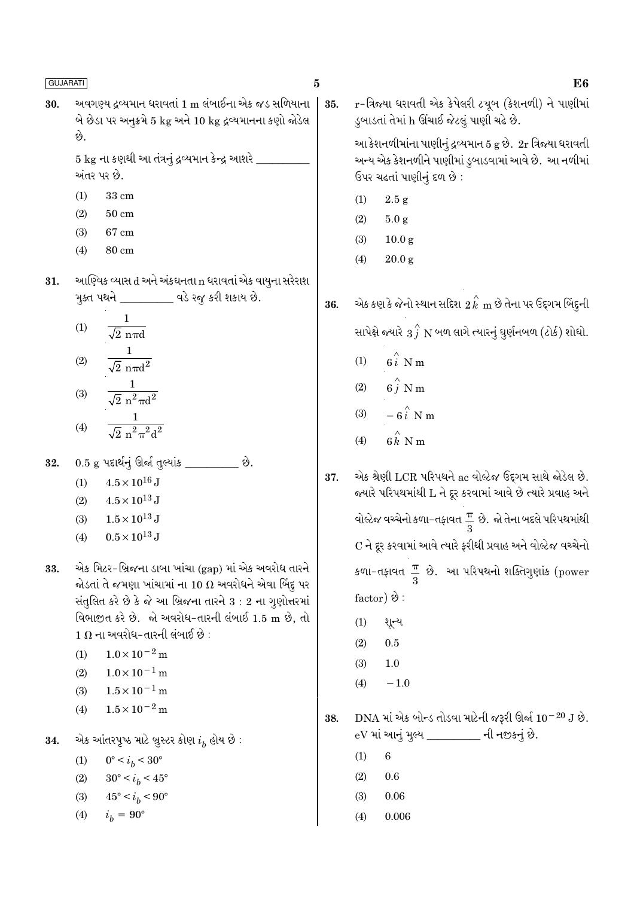અવગણ્ય દ્રવ્યમાન ધરાવતાં 1 m લંબાઈના એક જડ સળિયાના 30. બે છેડા પર અનુક્રમે 5 kg અને 10 kg દ્રવ્યમાનના કણો જોડેલ છે.

> 5 kg ના કણથી આ તંત્રનું દ્રવ્યમાન કેન્દ્ર આશરે અંતર પર છે.

- $33 \text{ cm}$  $(1)$
- $(2)$  $50 \text{ cm}$
- $(3)$ 67 cm
- $(4)$  $80 \text{ cm}$
- આણ્વિક વ્યાસ d અને અંકઘનતા n ધરાવતાં એક વાયુના સરેરાશ 31. મૂક્ત પથને \_\_\_\_\_\_\_\_\_\_\_ વડે રજૂ કરી શકાય છે.
	- $(1)$  $\sqrt{2}$  nπd  $\frac{1}{\sqrt{2} \pi \pi d^2}$  $(2)$
	- $\frac{1}{\sqrt{2} \pi^2 \pi d^2}$  $(3)$
	- $\frac{1}{\sqrt{2} n^2 \pi^2 d^2}$  $(4)$

0.5 g પદાર્થનું ઊર્જા તુલ્યાંક \_ છે. 32.

- $4.5 \times 10^{16}$  J  $(1)$
- $4.5 \times 10^{13}$  J  $(2)$
- $1.5 \times 10^{13}$  J  $(3)$
- $0.5 \times 10^{13}$  J  $(4)$
- એક મિટર-બ્રિજના ડાબા ખાંચા (gap) માં એક અવરોધ તારને 33. જોડતાં તે જમણા ખાંચામાં ના 10  $\Omega$  અવરોધને એવા બિંદુ પર સંતુલિત કરે છે કે જે આ બ્રિજના તારને  $3:2$  ના ગૃણોત્તરમાં વિભાજીત કરે છે. જો અવરોધ-તારની લંબાઈ 1.5 m છે, તો  $1\ \Omega$  ના અવરોધ-તારની લંબાઈ છે :
	- $1.0 \times 10^{-2}$  m  $(1)$
	- $1.0 \times 10^{-1}$  m  $(2)$
	- $1.5 \times 10^{-1}$  m  $(3)$
	- $1.5 \times 10^{-2}$  m  $(4)$
- એક આંતરપૃષ્ઠ માટે બ્રુસ્ટર કોણ  $i_b$  હોય છે : 34.
	- $0^{\circ} < i_b < 30^{\circ}$  $(1)$
	- $30^{\circ} < i_h < 45^{\circ}$  $(2)$
	- $45^{\circ} < i_h < 90^{\circ}$  $(3)$
	- $i_h = 90^{\circ}$  $(4)$

r-ત્રિજ્યા ધરાવતી એક કેપેલરી ટચૂબ (કેશનળી) ને પાણીમાં 35. ડુબાડતાં તેમાં h ઊંચાઈ જેટલું પાણી ચઢે છે.

> આ કેશનળીમાંના પાણીનું દ્રવ્યમાન 5 g છે. 2r ત્રિજ્યા ધરાવતી અન્ય એક કેશનળીને પાણીમાં ડુબાડવામાં આવે છે. આ નળીમાં ઉપર ચઢતાં પાણીનું દળ છે:

- $(1)$  $2.5 g$
- $(2)$  $5.0 g$
- $(3)$  $10.0 g$
- $(4)$  $20.0 g$

એક કણકે જેનો સ્થાન સદિશ  $\stackrel{\sim}{2}{\stackrel{\sim}{k}}$  m છે તેના પર ઉદ્દગમ બિંદુની 36. સાપેક્ષે જ્યારે  $\stackrel{\frown}{3}$   $\stackrel{\frown}{N}$  બળ લાગે ત્યારનું ઘુર્ણનબળ (ટોર્ક) શોધો.

- $(1)$  $6i$  N m
- $6\hat{j}$  N m  $(2)$
- $-6i$  N m  $(3)$
- $6k$ <sup> $\land$ </sup> $N$ m  $(4)$
- એક શ્રેણી LCR પરિપથને ac વોલ્ટેજ ઉદ્દગમ સાથે જોડેલ છે. 37. જયારે પરિપથમાંથી L ને દૂર કરવામાં આવે છે ત્યારે પ્રવાહ અને વોલ્ટેજ વચ્ચેનો કળા-તફાવત $\frac{\pi}{2}$  છે. જો તેના બદલે પરિપથમાંથી C ને દૂર કરવામાં આવે ત્યારે ફરીથી પ્રવાહ અને વોલ્ટેજ વચ્ચેનો કળા-તફાવત  $\frac{\pi}{3}$  છે. આ પરિપથનો શક્તિગુણાંક (power factor)  $\hat{\vartheta}$ :
	- $(1)$ શૂન્ય
	- $(2)$  $0.5$
	- $(3)$  $1.0$
	- $(4)$  $-1.0$
- DNA માં એક બોન્ડ તોડવા માટેની જરૂરી ઊર્જા  $10^{-20}$  J છે. 38. eV માં આનું મુલ્ય \_\_\_\_\_\_\_\_ ની નજીકનું છે.
	- $6\overline{6}$  $(1)$
	- $(2)$ 0.6
	- $(3)$  $0.06$
	- 0.006  $(4)$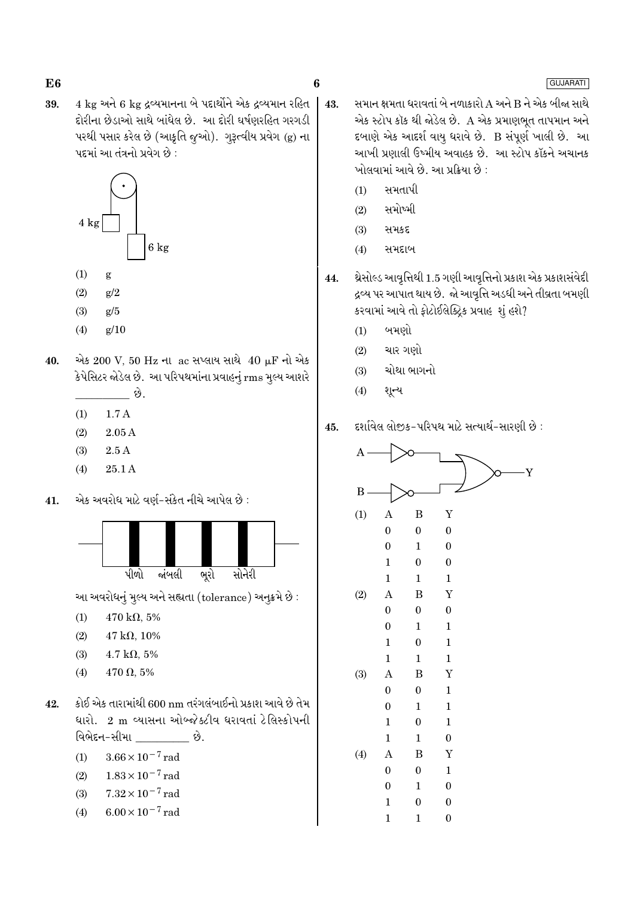4 kg અને 6 kg દ્રવ્યમાનના બે પદાર્થોને એક દ્રવ્યમાન રહિત 39. દોરીના છેડાઓ સાથે બાંધેલ છે. આ દોરી ઘર્ષણરહિત ગરગડી પરથી પસાર કરેલ છે (આકુતિ જુઓ). ગુરૂત્વીય પ્રવેગ (g) ના પદમાં આ તંત્રનો પ્રવેગ છે :



- $(1)$ g
- $(2)$  $g/2$
- $(3)$  $g/5$
- $(4)$  $g/10$
- એક 200 V, 50 Hz ના ac સપ્લાય સાથે 40 µF નો એક 40. કેપેસિટર જોડેલ છે. આ પરિપથમાંના પ્રવાહનું rms મુલ્ય આશરે છે.
	- $1.7A$  $(1)$
	- $2.05A$  $(2)$
	- $2.5A$  $(3)$
	- $(4)$ 25.1A
- એક અવરોધ માટે વર્ણ-સંકેત નીચે આપેલ છે :  $41$



આ અવરોધનું મુલ્ય અને સહ્યતા (tolerance) અનુક્રમે છે:

- $470 \text{ k}\Omega, 5\%$  $(1)$
- $(2)$  $47 k\Omega, 10\%$
- $4.7 \text{ k}\Omega, 5\%$  $(3)$
- $470 \Omega, 5\%$  $(4)$
- કોઈ એક તારામાંથી 600 nm તરંગલંબાઈનો પ્રકાશ આવે છે તેમ 42. ધારો. 2 m વ્યાસના ઓબ્જેક્ટીવ ધરાવતાં ટેલિસ્કોપની વિભેદન-સીમા \_\_\_\_\_\_\_\_\_\_ છે.
	- $3.66 \times 10^{-7}$  rad  $(1)$
	- $1.83 \times 10^{-7}$  rad  $(2)$
	- $7.32 \times 10^{-7}$  rad  $(3)$
	- $6.00 \times 10^{-7}$  rad  $(4)$
- સમાન ક્ષમતા ધરાવતાં બે નળાકારો A અને B ને એક બીજા સાથે  $43.$ એક સ્ટોપ કૉક થી જોડેલ છે. A એક પ્રમાણભૂત તાપમાન અને દબાણે એક આદર્શ વાયુ ધરાવે છે. B સંપૂર્ણ ખાલી છે. આ આખી પ્રણાલી ઉષ્મીય અવાહક છે. આ સ્ટોપ કૉકને અચાનક ખોલવામાં આવે છે. આ પ્રક્રિયા છે :
	- સમતાપી  $(1)$
	- સમોષ્મી  $(2)$
	- સમકદ  $(3)$
	- $(4)$ સમદાબ
- થ્રેસોલ્ડ આવૃત્તિથી 1.5 ગણી આવૃત્તિનો પ્રકાશ એક પ્રકાશસંવેદી 44. દ્રવ્ય પર આપાત થાય છે. જો આવૃત્તિ અડધી અને તીવ્રતા બમણી કરવામાં આવે તો ફોટોઈલેક્ટ્રિક પ્રવાહ શું હશે?
	- બમણો  $(1)$
	- ચાર ગણો  $(2)$
	- ચોથા ભાગનો  $(3)$
	- શૃન્ય  $(4)$
- દર્શાવેલ લોજક-પરિપથ માટે સત્યાર્થ-સારણી છે : 45.



### GUJARATI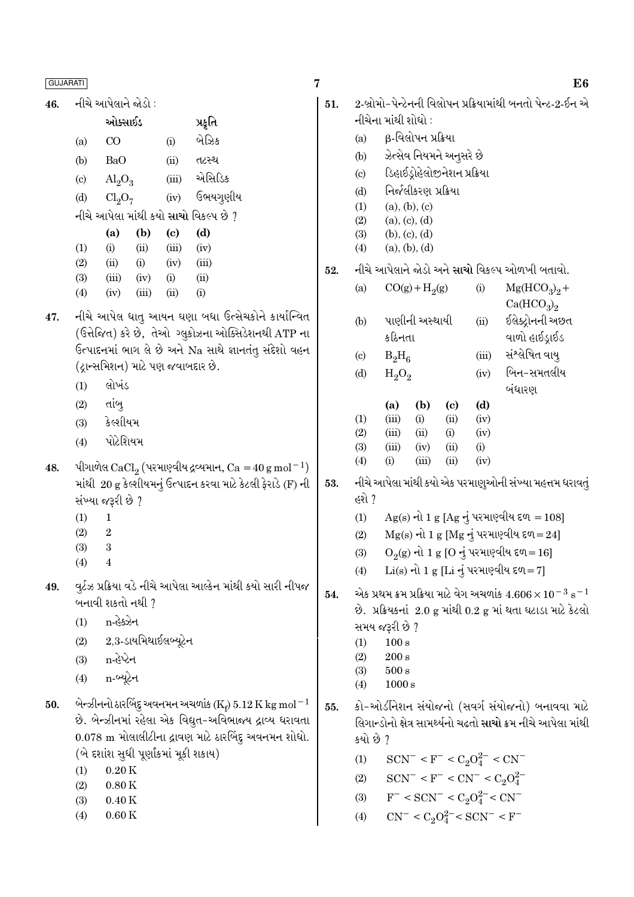નીચે આપેલાને જોડો : 46.

|                            | ઓક્સાઈડ                        |       |       | પ્રકૃતિ                                      |
|----------------------------|--------------------------------|-------|-------|----------------------------------------------|
| (a)                        | CO                             |       | (i)   | બેઝિક                                        |
| (b)                        | BaO                            |       | (ii)  | તટસ્થ                                        |
| $\left( \mathrm{c}\right)$ | $\text{Al}_2\text{O}_3$        |       | (iii) | એસિડિક                                       |
| (d)                        | Cl <sub>2</sub> O <sub>7</sub> |       | (iv)  | ઉભયગુણીય                                     |
|                            |                                |       |       | નીચે આપેલા માંથી કયો <b>સાચો</b> વિકલ્પ છે ? |
|                            | (a)                            | (b)   | (c)   | (d)                                          |
| (1)                        | (i)                            | (ii)  | (iii) | (iv)                                         |
| (2)                        | (ii)                           | (i)   | (iv)  | (iii)                                        |
| (3)                        | (iii)                          | (iv)  | (i)   | (ii)                                         |
| (4)                        | (iv)                           | (iii) | (ii)  | (i)                                          |

- નીચે આપેલ ધાતુ આયન ઘણા બધા ઉત્સેચકોને કાર્યાન્વિત 47. (ઉત્તેજિત) કરે છે, તેઓ ગ્લુકોઝના ઓક્સિડેશનથી ATP ન ઉત્પાદનમાં ભાગ લે છે અને Na સાથે જ્ઞાનતંતુ સંદેશો વહન (ટ્રાન્સમિશન) માટે પણ જવાબદાર છે.
	- લોખંડ  $(1)$
	- $(2)$ તાંબ્
	- કેલ્શીયમ  $(3)$
	- પોટેશિયમ  $(4)$
- પીગાળેલ CaCl<sub>2</sub> (પરમાણ્વીય દ્રવ્યમાન, Ca = 40 g mol<sup>-1</sup> 48. માંથી 20 g કેલ્શીયમનું ઉત્પાદન કરવા માટે કેટલી ફેરાડે (F) ર્ન સંખ્યા જરૂરી છે ?
	- $(1)$  $\mathbf{1}$
	- $\overline{2}$  $(2)$
	- $(3)$ 3
	- $(4)$  $\overline{4}$
- વુર્ટઝ પ્રક્રિયા વડે નીચે આપેલા આલ્કેન માંથી કયો સારી નીપજ 49. બનાવી શકતો નથી ?
	- n-હેક્ઝેન  $(1)$
	- $2,3$ -ડાયમિથાઈલબ્યૂટેન  $(2)$
	- n-હેપ્ટેન  $(3)$
	- n-બ્યૂટેન  $(4)$
- બેન્ઝીનનો ઠારબિંદુ અવનમન અચળાંક ( $\mathrm{K_{f}}$ ) 5.12  $\mathrm{K}\,\mathrm{kg}\,\mathrm{mol}^{-1}$ 50. છે. બેન્ઝીનમાં રહેલા એક વિદ્યુત-અવિભાજ્ય દ્રાવ્ય ધરાવત 0.078 m મોલાલીટીના દ્રાવણ માટે ઠારબિંદુ અવનમન શોધો (બે દર્શાશ સુધી પૂર્ણાકમાં મૂકી શકાય)
	- $0.20K$  $(1)$
	- $(2)$  $0.80K$
	- $0.40\,\mathrm{K}$  $(3)$
	- $0.60K$  $(4)$

 $\overline{7}$ 

 $\vert 51.$ 

|             |     |                            | નીચેના માંથી શોધો :                                                                                                                         |                  |      |                                    |                                                                      |  |  |  |  |
|-------------|-----|----------------------------|---------------------------------------------------------------------------------------------------------------------------------------------|------------------|------|------------------------------------|----------------------------------------------------------------------|--|--|--|--|
|             |     | (a)                        | β-વિલોપન પ્રક્રિયા                                                                                                                          |                  |      |                                    |                                                                      |  |  |  |  |
|             |     |                            | (b) ઝેત્સેવ નિયમને અનુસરે છે                                                                                                                |                  |      |                                    |                                                                      |  |  |  |  |
|             |     | (c)                        | ડિહાઈડ્રોહેલોજીનેશન પ્રક્રિયા<br>નિર્જલીકરણ પ્રક્રિયા                                                                                       |                  |      |                                    |                                                                      |  |  |  |  |
|             |     | (d)                        |                                                                                                                                             |                  |      |                                    |                                                                      |  |  |  |  |
|             |     | (1)                        | (a), (b), (c)                                                                                                                               |                  |      |                                    |                                                                      |  |  |  |  |
|             |     | (2)                        | (a), (c), (d)                                                                                                                               |                  |      |                                    |                                                                      |  |  |  |  |
|             |     |                            | (3) (b), (c), (d)                                                                                                                           |                  |      |                                    |                                                                      |  |  |  |  |
|             |     |                            | $(4)$ (a), (b), (d)                                                                                                                         |                  |      |                                    |                                                                      |  |  |  |  |
|             | 52. |                            |                                                                                                                                             |                  |      |                                    | નીચે આપેલાને જોડો અને સાચો વિકલ્પ ઓળખી બતાવો.                        |  |  |  |  |
|             |     | (a)                        |                                                                                                                                             | $CO(g) + H_2(g)$ |      | (i)                                | $Mg(HCO3)2 +$                                                        |  |  |  |  |
|             |     |                            |                                                                                                                                             |                  |      |                                    | Ca(HCO <sub>3</sub> ) <sub>2</sub>                                   |  |  |  |  |
| J,          |     | (b)                        |                                                                                                                                             | પાણીની અસ્થાયી   |      | (ii)                               | ઈલેક્ટ્રોનની અછત                                                     |  |  |  |  |
| ll.         |     |                            | કઠિનતા                                                                                                                                      |                  |      |                                    | વાળો હાઈડ્રાઈડ                                                       |  |  |  |  |
| l           |     | $\left( \mathrm{c}\right)$ | $B_2H_6$                                                                                                                                    |                  |      | (iii)                              | સંશ્લેષિત વાયુ                                                       |  |  |  |  |
|             |     | (d)                        | $H_2O_2$                                                                                                                                    |                  |      | (iv)                               | બિન-સમતલીય                                                           |  |  |  |  |
|             |     |                            |                                                                                                                                             |                  |      |                                    | બંધારણ                                                               |  |  |  |  |
|             |     |                            | (a)                                                                                                                                         | (b)              | (c)  | (d)                                |                                                                      |  |  |  |  |
|             |     | (1)                        | (iii)                                                                                                                                       | (i)              | (ii) | (iv)                               |                                                                      |  |  |  |  |
|             |     | (2)                        | (iii)                                                                                                                                       | (ii)             | (i)  | (iv)                               |                                                                      |  |  |  |  |
|             |     | (3)                        | (iii)                                                                                                                                       | (iv)             | (ii) | (i)                                |                                                                      |  |  |  |  |
| )<br>1      |     | (4)                        | (i)                                                                                                                                         | (iii)            | (ii) | (iv)                               |                                                                      |  |  |  |  |
|             | 53. |                            |                                                                                                                                             |                  |      |                                    | નીચે આપેલા માંથી કયો એક પરમાણુઓની સંખ્યા મહત્તમ ધરાવતું              |  |  |  |  |
|             |     | હશે ?                      |                                                                                                                                             |                  |      |                                    |                                                                      |  |  |  |  |
|             |     | (1)                        |                                                                                                                                             |                  |      |                                    | $Ag(s)$ નો 1 g [Ag નું પરમાણ્વીય દળ = 108]                           |  |  |  |  |
|             |     | (2)                        |                                                                                                                                             |                  |      |                                    | $Mg(s)$ નો 1 g [Mg નું પરમાણ્વીય દળ=24]                              |  |  |  |  |
|             |     | (3)                        |                                                                                                                                             |                  |      |                                    | $O_2$ (g) નો 1 g [O નું પરમાણ્વીય દળ=16]                             |  |  |  |  |
|             |     | (4)                        |                                                                                                                                             |                  |      |                                    | $Li(s)$ નો 1 g [Li નું પરમાણ્વીય દળ=7]                               |  |  |  |  |
| Y           | 54. |                            |                                                                                                                                             |                  |      |                                    |                                                                      |  |  |  |  |
|             |     |                            | એક પ્રથમ ક્રમ પ્રક્રિયા માટે વેગ અચળાંક $4.606\times10^{-3}~\mathrm{s}^{-1}$<br>છે. પ્રક્રિયકનાં 2.0 g માંથી 0.2 g માં થતા ઘટાડા માટે કેટલો |                  |      |                                    |                                                                      |  |  |  |  |
|             |     |                            | સમય જરૂરી છે ?                                                                                                                              |                  |      |                                    |                                                                      |  |  |  |  |
|             |     | (1)                        | 100 s                                                                                                                                       |                  |      |                                    |                                                                      |  |  |  |  |
|             |     | (2)                        | $200\,\mathrm{s}$                                                                                                                           |                  |      |                                    |                                                                      |  |  |  |  |
|             |     | (3)                        | $500\,\mathrm{s}$                                                                                                                           |                  |      |                                    |                                                                      |  |  |  |  |
|             |     | (4)                        | 1000 s                                                                                                                                      |                  |      |                                    |                                                                      |  |  |  |  |
| $\mathbf 1$ | 55. |                            |                                                                                                                                             |                  |      |                                    | કો-ઓર્ડીનેશન સંયોજનો (સવર્ગ સંયોજનો) બનાવવા માટે                     |  |  |  |  |
| l.          |     |                            |                                                                                                                                             |                  |      |                                    | લિગાન્ડોનો ક્ષેત્ર સામર્થ્યનો ચઢતો <b>સાચો</b> ક્રમ નીચે આપેલા માંથી |  |  |  |  |
|             |     | કયો છે ?                   |                                                                                                                                             |                  |      |                                    |                                                                      |  |  |  |  |
|             |     | (1)                        |                                                                                                                                             |                  |      | $SCN^- < F^- < C_2O_4^{2-} < CN^-$ |                                                                      |  |  |  |  |
|             |     |                            |                                                                                                                                             |                  |      |                                    |                                                                      |  |  |  |  |

2-બ્રોમો-પેન્ટેનની વિલોપન પ્રક્રિયામાંથી બનતો પેન્ટ-2-ઈન એ

- $SCN^- < F^- < C_2O_4^{2-} < CN$  $\mathrm{SCN}^- < \mathrm{F}^- < \mathrm{CN}^- < \mathrm{C}_2\mathrm{O}_4^{2-}$  $(2)$
- $F^-$  < SCN<sup>-</sup> < C<sub>2</sub>O<sup>2</sup><sup>-</sup> < CN<sup>-</sup>  $(3)$
- $CN^{-} < C_2O_4^{2-} < SCN^{-} < F^{-}$  $(4)$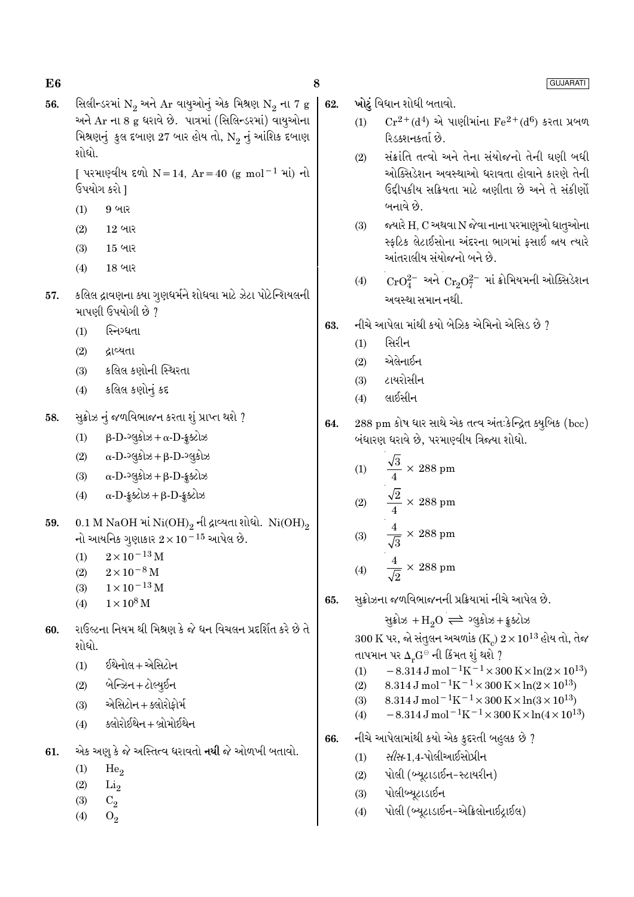સિલીન્ડરમાં  $N_2$  અને Ar વાયુઓનું એક મિશ્રણ  $N_2$  ના 7 g 56. અને Ar ના 8 g ધરાવે છે. પાત્રમાં (સિલિન્ડરમાં) વાયુઓના મિશ્રણનું કુલ દબાણ 27 બાર હોય તો, N<sub>2</sub> નું આંશિક દબાણ શોધો.

> [ પરમાણ્વીય દળો N = 14, Ar = 40 (g mol<sup>-1</sup> માં) નો ઉપયોગ કરો ]

- 9 બાર  $(1)$
- $(2)$  $12$  બાર
- 15 બાર  $(3)$
- $(4)$ 18 બાર
- કલિલ દ્રાવણના ક્યા ગુણધર્મને શોધવા માટે ઝેટા પોટેન્શિયલની 57. માપણી ઉપયોગી છે ?
	- $(1)$ સ્નિગ્ધતા
	- $(2)$ ઢાવ્યતા
	- કલિલ કણોની સ્થિરતા  $(3)$
	- $(4)$ કલિલ કણોનું કદ
- સુક્રોઝ નું જળવિભાજન કરતા શું પ્રાપ્ત થશે ? 58.
	- $(1)$  $\beta$ -D- $\partial$ લૂકોઝ +  $\alpha$ -D-કૂક્ટોઝ
	- $\alpha$ -D- $\log$ કોઝ +  $\beta$ -D- $\log$ કોઝ  $(2)$
	- $\alpha$ -D- $\log$ કોઝ +  $\beta$ -D-ક્રૂક્ટોઝ  $(3)$
	- $\alpha$ -D-  $\frac{1}{2}$  selection +  $\beta$ -D- $\frac{1}{2}$ selection  $(4)$
- 0.1 M NaOH માં  $\mathrm{Ni(OH)}_{2}$ ની દ્રાવ્યતા શોધો.  $\mathrm{Ni(OH)}_{2}$ 59. નો આયનિક ગુણાકાર  $2 \times 10^{-15}$  આપેલ છે.
	- $2 \times 10^{-13}$  M  $(1)$
	- $2 \times 10^{-8}$  M  $(2)$
	- $1\times10^{-13}\,\mathrm{M}$  $(3)$
	- $1 \times 10^8$  M  $(4)$
- રાઉલ્ટના નિયમ થી મિશ્રણ કે જે ધન વિચલન પ્રદર્શિત કરે છે તે 60. શોધો.
	- ઈથેનોલ + એસિટોન  $(1)$
	- બેન્ઝિન + ટોલ્યૂઈન  $(2)$
	- એસિટોન + ક્લોરોફોર્મ  $(3)$
	- ક્લોરોઈથેન + બ્રોમોઈથેન  $(4)$
- 61. એક અણુ કે જે અસ્તિત્વ ધરાવતો **નથી** જે ઓળખી બતાવો.
	- $(1)$  $He<sub>2</sub>$
	- $(2)$  $Li<sub>2</sub>$
	- $(3)$  $C<sub>2</sub>$
	- $(4)$  $O<sub>2</sub>$
- ખોટું વિધાન શોધી બતાવો. 62.
	- $Cr^{2+}(d^4)$  એ પાણીમાંના  $Fe^{2+}(d^6)$  કરતા પ્રબળ  $(1)$ રિડક્શનકર્તા છે.
	- સંક્રાંતિ તત્વો અને તેના સંયોજનો તેની ઘણી બધી  $(2)$ ઓક્સિડેશન અવસ્થાઓ ધરાવતા હોવાને કારણે તેની ઉદ્દીપકીય સક્રિયતા માટે જણીતા છે અને તે સંકીર્ણો બનાવે છે.
	- $(3)$ જ્યારે H, C અથવા N જેવા નાના પરમાણુઓ ધાતુઓના સ્કૃટિક લેટાઈસોના અંદરના ભાગમાં કસાઈ જાય ત્યારે આંતરાલીય સંયોજનો બને છે.
	- $CrO_4^{2-}$  અને  $Cr_9O_7^{2-}$  માં ક્રોમિયમની ઓક્સિડેશન  $(4)$ અવસ્થા સમાન નથી
- નીચે આપેલા માંથી કયો બેઝિક એમિનો એસિડ છે ? 63.
	- સિરીન  $(1)$
	- એલેનાઈન  $(2)$
	- ટાયરોસીન  $(3)$
	- લાઈસીન  $(4)$
- 288 pm કોષ ધાર સાથે એક તત્વ અંતઃકેન્દ્રિત ક્યુબિક (bcc) 64. બંધારણ ધરાવે છે, પરમાણ્વીય ત્રિજ્યા શોધો.
	- $\frac{\sqrt{3}}{4} \times 288$  pm  $(1)$  $\frac{\sqrt{2}}{4} \times 288$  pm  $(2)$  $\frac{4}{\sqrt{2}} \times 288$  pm  $(3)$

$$
(4) \qquad \frac{4}{\sqrt{2}} \times 288 \text{ pm}
$$

સૂક્રોઝના જળવિભાજનની પ્રક્રિયામાં નીચે આપેલ છે. 65.

> સુક્રોઝ + $H_2O \rightleftharpoons 29.49$ મ કુક્ટોઝ  $300 \text{ K}$  પર, જો સંતુલન અચળાંક (K)  $2 \times 10^{13}$  હોય તો, તેજ તાપમાન પર  $\Delta_r {\rm G}^{\scriptscriptstyle \ominus}$  ની કિંમત શું થશે ?  $-8.314 \,\mathrm{J}$  mol<sup>-1</sup>K<sup>-1</sup>×300 K×ln(2×10<sup>13</sup>)  $(1)$  $8.314 \,\mathrm{J}$  mol<sup>-1</sup>K<sup>-1</sup>×300 K×ln(2×10<sup>13</sup>)  $(2)$  $8.314\,\mathrm{J}$  mol  $^{-1}\mathrm{K}^{-1} \times 300\,\mathrm{K} \times \ln(3\times10^{13})$  $(3)$  $-8.314 \,\mathrm{J} \,\mathrm{mol}^{-1} \mathrm{K}^{-1} \times 300 \,\mathrm{K} \times \ln(4 \times 10^{13})$  $(4)$

- નીચે આપેલામાંથી કયો એક કુદરતી બહુલક છે ? 66.
	- *સીસ*-1.4-પોલીઆઈસોપ્રીન  $(1)$
	- પોલી (બ્યૂટાડાઈન-સ્ટાયરીન)  $(2)$
	- પોલીબ્યુટાડાઈન  $(3)$
	- પોલી (બ્યુટાડાઈન-એક્રિલોનાઈટ્રાઈલ)  $(4)$

**GUJARATI** 

8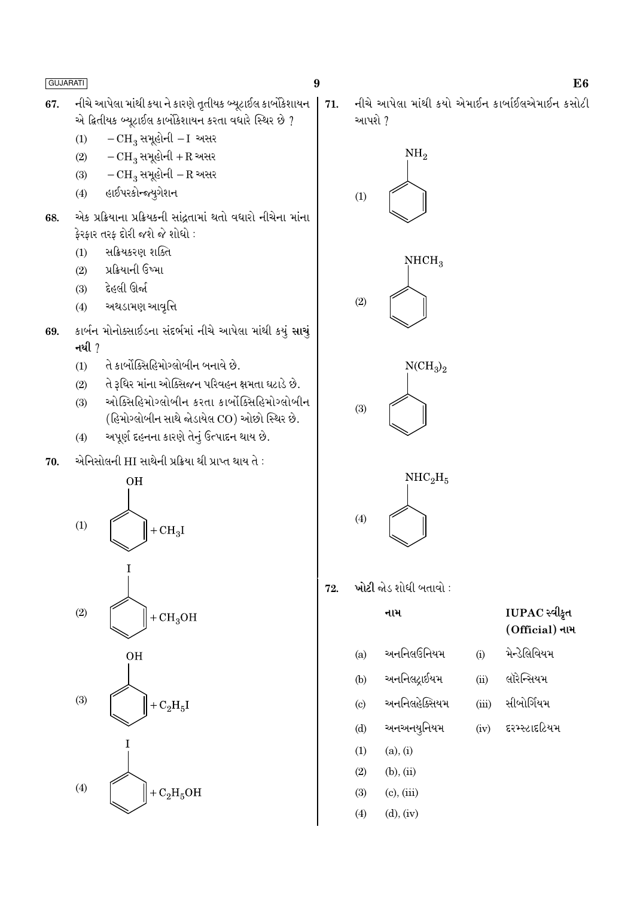- નીચે આપેલા માંથી કયા ને કારણે તૃતીયક બ્યૂટાઈલ કાર્બોકેશાયન 67. એ દ્વિતીયક બ્યૂટાઈલ કાર્બોકેશાયન કરતા વધારે સ્થિર છે ?
	- $-CH_3$  સમૂહોની  $-I$  અસર  $(1)$
	- $-CH_3$  સમૂહોની + R અસર  $(2)$
	- $-CH_3$  સમૂહોની R અસર  $(3)$
	- હાઈપરકોન્જ્યૃગેશન  $(4)$
- એક પ્રક્રિયાના પ્રક્રિયકની સાંદતામાં થતો વધારો નીચેના માંના 68. કેરકાર તરક દોરી જશે જે શોધો:
	- સક્રિયકરણ શક્તિ  $(1)$
	- પ્રક્રિયાની ઉષ્મા  $(2)$
	- દેહલી ઊર્જા  $(3)$
	- અથડામણ આવૃત્તિ  $(4)$
- કાર્બન મોનોક્સાઈડના સંદર્ભમાં નીચે આપેલા માંથી કયું સાચું 69. નથી  $\gamma$ 
	- તે કાર્બોક્સિહિમોગ્લોબીન બનાવે છે.  $(1)$
	- તે રૂધિર માંના ઓક્સિજન પરિવહન ક્ષમતા ઘટાડે છે.  $(2)$
	- ઓક્સિહિમોગ્લોબીન કરતા કાર્બોક્સિહિમોગ્લોબીન  $(3)$ (હિમોગ્લોબીન સાથે જોડાયેલ CO) ઓછો સ્થિર છે.
	- અપૂર્ણ દહનના કારણે તેનું ઉત્પાદન થાય છે.  $(4)$
- એનિસોલની HI સાથેની પ્રક્રિયા થી પ્રાપ્ત થાય તે : 70.





- $(3)$  $(c)$ ,  $(iii)$
- $(d)$ ,  $(iv)$  $(4)$
- IUPAC સ્વીકૃત (Official) નામ
- મેન્ડેલિવિયમ  $(i)$
- લૉરેન્સિયમ  $(ii)$
- સીબોર્ગિયમ  $(iii)$ 
	- દરમ્સ્ટાદટિયમ  $(iv)$

 $\boldsymbol{9}$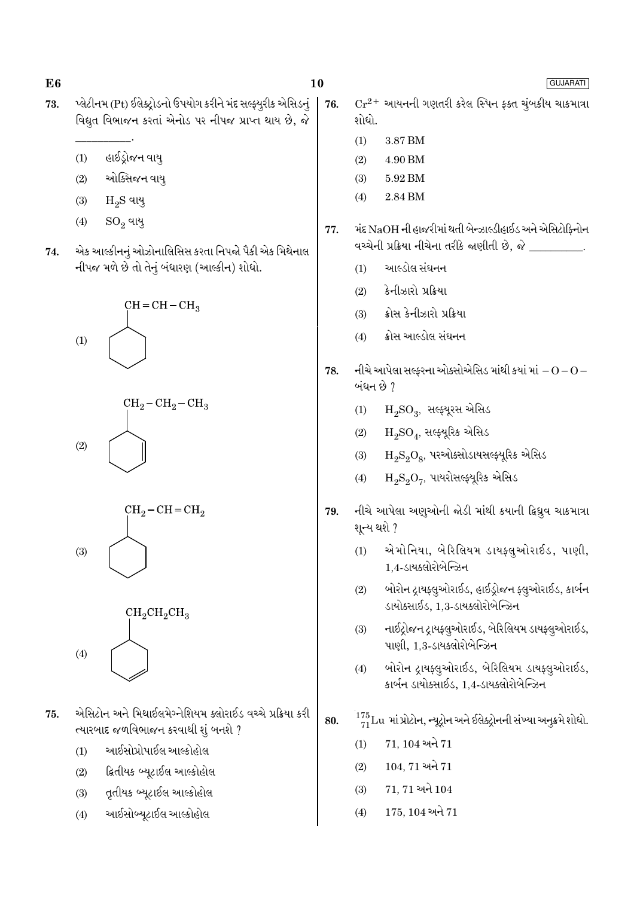76.

77.

- પ્લેટીનમ (Pt) ઈલેક્ટ્રોડનો ઉપયોગ કરીને મંદ સલ્ફ્યૂરીક એસિડનું 73. વિદ્યુત વિભાજન કરતાં એનોડ પર નીપજ પ્રાપ્ત થાય છે, જે
	- હાઈડોજન વાય  $(1)$
	- ઓક્સિજન વાય્  $(2)$
	- $H<sub>2</sub>S$  વાયુ  $(3)$
	- $SO_2$  વાયુ  $(4)$
- એક આલ્કીનનું ઓઝોનાલિસિસ કરતા નિપજો પૈકી એક મિથેનાલ 74. નીપજ મળે છે તો તેનું બંધારણ (આલ્કીન) શોધો.









- એસિટોન અને મિથાઈલમેગ્નેશિયમ ક્લોરાઈડ વચ્ચે પ્રક્રિયા કરી 75. ત્યારબાદ જળવિભાજન કરવાથી શું બનશે ?
	- આઈસોપ્રોપાઈલ આલ્કોહોલ  $(1)$
	- દ્વિતીયક બ્યૂટાઈલ આલ્કોહોલ  $(2)$
	- તૃતીયક બ્યૂટાઈલ આલ્કોહોલ  $(3)$
	- આઈસોબ્યુટાઈલ આલ્કોહોલ  $(4)$
- GUJARATI  $\mathrm{Cr^{2+}}$  આયનની ગણતરી કરેલ સ્પિન ફક્ત ચૂંબકીય ચાકમાત્રા શોધો.  $(1)$ 3.87 BM  $(2)$ 4.90 BM  $(3)$ 5.92 BM 2.84 BM  $(4)$ મંદ NaOH ની હાજરીમાં થતી બેન્ઝાલ્ડીહાઈડ અને એસિટોફિનોન વચ્ચેની પ્રક્રિયા નીચેના તરીકે જાણીતી છે, જે \_\_\_\_\_\_\_\_\_. આલ્ડોલ સંઘનન  $(1)$ કેનીઝારો પ્રક્રિયા  $(2)$ ક્રોસ કેનીઝારો પ્રક્રિયા  $(3)$ ક્રોસ આલ્ડોલ સંઘનન  $(4)$
- નીચે આપેલા સલ્ફરના ઓક્સોએસિડ માંથી કયાં માં $-O$   $O-$ 78. બંધન છે ?
	- $H_2$ SO<sub>3</sub>, સલ્ફ્યૂરસ એસિડ  $(1)$
	- $H_2SO_4$ , સલ્ફ્યૂરિક એસિડ  $(2)$
	- $H_9S_9O_8$ , પરઓક્સોડાયસલ્ફ્યૂરિક એસિડ  $(3)$
	- $H_2S_2O_7$ , પાયરોસલ્ફ્યૂરિક એસિડ  $(4)$
- નીચે આપેલા અણુઓની જોડી માંથી કયાની ક્રિધ્રુવ ચાકમાત્રા 79. શૂન્ય થશે ?
	- એમોનિયા, બેરિલિયમ ડાયફ્લુઓરાઈડ, પાણી,  $(1)$ 1.4-ડાયક્લોરોબેન્ઝિન
	- બોરોન ટ્રાયફ્લુઓરાઈડ, હાઈડ્રોજન ફ્લુઓરાઈડ, કાર્બન  $(2)$ ડાયોક્સાઈડ, 1,3-ડાયક્લોરોબેન્ઝિન
	- નાઈટ્રોજન ટ્રાયફ્લુઓરાઈડ, બેરિલિયમ ડાયફ્લુઓરાઈડ,  $(3)$ પાણી, 1.3-ડાયક્લોરોબેન્ઝિન
	- બોરોન દ્રાયફ્લુઓરાઈડ, બેરિલિયમ ડાયફ્લુઓરાઈડ,  $(4)$ કાર્બન ડાયોક્સાઈડ. 1.4-ડાયક્લોરોબેન્ઝિન
- $\frac{175}{71}$ Lu માં પ્રોટોન, ન્યૂટ્રોન અને ઈલેક્ટ્રોનની સંખ્યા અનુક્રમે શોધો. 80.
	- 71, 104 અને 71  $(1)$
	- $104.71$  અને  $71$  $(2)$
	- 71, 71 અને 104  $(3)$
	- $(4)$ 175, 104 અને 71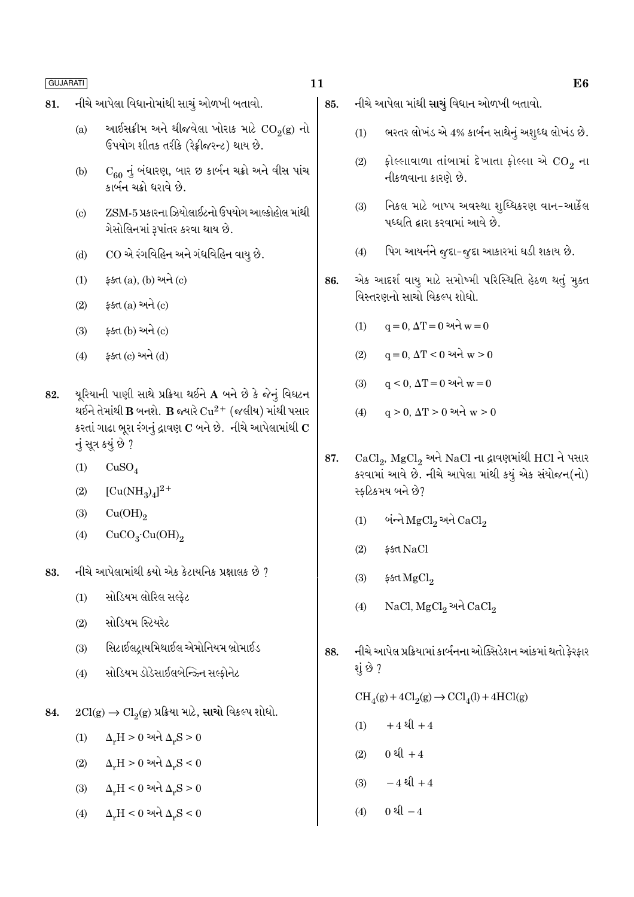- નીચે આપેલા વિદ્યાનોમાંથી સાચું ઓળખી બતાવો. 81.
	- આઈસક્રીમ અને થીજવેલા ખોરાક માટે  $CO<sub>2</sub>(g)$  નો  $(a)$ ઉપયોગ શીતક તરીકે (રેક્રીજરન્ટ) થાય છે.
	- $C_{60}$  નું બંધારણ, બાર છ કાર્બન ચક્રો અને વીસ પાંચ  $(b)$ કાર્બન ચક્રો ધરાવે છે.
	- ZSM-5 પ્રકારના ઝિયોલાઈટનો ઉપયોગ આલ્કોહોલ માંથી  $\left( \text{c} \right)$ ગેસોલિનમાં રૂપાંતર કરવા થાય છે.
	- CO એ રંગવિહિન અને ગંધવિહિન વાય છે.  $(d)$
	- ફક્ત (a), (b) અને (c)  $(1)$
	- ફક્ત $(a)$  અને $(c)$  $(2)$
	- ફક્ત (b) અને (c)  $(3)$
	- ફક્ત (c) અને (d)  $(4)$
- યૂરિયાની પાણી સાથે પ્રક્રિયા થઈને  ${\bf A}$  બને છે કે જેનું વિઘટન 82. થઈને તેમાંથી  $\bf{B}$  બનશે.  $\bf{B}$  જ્યારે  $\rm Cu^{2+}$  (જલીય) માંથી પસાર કરતાં ગાઢા ભૂરા રંગનું દ્રાવણ  $\mathbf C$  બને છે. નીચે આપેલામાંથી  $\mathbf C$ નું સુત્ર કયું છે ?
	- $(1)$  $CuSO<sub>4</sub>$
	- $[Cu(NH_3)_4]^{2+}$  $(2)$
	- $Cu(OH)_{2}$  $(3)$
	- $CuCO<sub>3</sub>·Cu(OH)<sub>2</sub>$  $(4)$
- નીચે આપેલામાંથી કયો એક કેટાયનિક પ્રક્ષાલક છે ? 83.
	- સોડિયમ લોરિલ સલ્કેટ  $(1)$
	- સોડિયમ સ્ટિયરેટ  $(2)$
	- સિટાઈલટાયમિથાઈલ એમોનિયમ બ્રોમાઈડ  $(3)$
	- સોડિયમ ડોડેસાઈલબેન્ઝ્ર્નિ સલ્કોનેટ  $(4)$
- $2Cl(g) \rightarrow Cl_2(g)$  પ્રક્રિયા માટે, સાચો વિકલ્પ શોધો. 84.
	- $\Delta_r H > 0$  અને  $\Delta_r S > 0$  $(1)$
	- $\Delta_{\nu}H > 0$  અને  $\Delta_{\nu}S < 0$  $(2)$
	- $\Delta_r H < 0$  અને  $\Delta_r S > 0$  $(3)$
	- $\Delta_r H < 0$  અને  $\Delta_r S < 0$  $(4)$
- નીચે આપેલા માંથી સાચું વિધાન ઓળખી બતાવો. 85.
	- ભરતર લોખંડ એ 4% કાર્બન સાથેનું અશુધ્ધ લોખંડ છે.  $(1)$
	- ફોલ્લાવાળા તાંબામાં દેખાતા ફોલ્લા એ CO<sub>2</sub> ના  $(2)$ નીકળવાના કારણે છે.
	- નિકલ માટે બાષ્પ અવસ્થા શબ્ધિકરણ વાન-આર્કેલ  $(3)$ પધ્ધતિ દ્વારા કરવામાં આવે છે.
	- પિગ આયર્નને જુદા-જુદા આકારમાં ઘડી શકાય છે.  $(4)$
- એક આદર્શ વાયુ માટે સમોષ્મી પરિસ્થિતિ હેઠળ થતું મુક્ત 86. વિસ્તરણનો સાચો વિકલ્પ શોધો.
	- $q = 0$ ,  $\Delta T = 0$  અને  $w = 0$  $(1)$
	- $(2)$  $q = 0$ ,  $\Delta T < 0$  અને  $w > 0$
	- $q \le 0$ ,  $\Delta T = 0$  અને  $w = 0$  $(3)$
	- $q > 0$ ,  $\Delta T > 0$  અને  $w > 0$  $(4)$
- CaCl<sub>2</sub>, MgCl<sub>2</sub> અને NaCl ના દ્રાવણમાંથી HCl ને પસાર 87. કરવામાં આવે છે. નીચે આપેલા માંથી કયું એક સંયોજન(નો) સ્કટિકમય બને છે?
	- બંન્ને  $MgCl<sub>2</sub>$  અને  $CaCl<sub>2</sub>$  $(1)$
	- $(2)$ ક્કત NaCl
	- $(3)$ ईर्डत MgCl<sub>2</sub>
	- NaCl, MgCl<sub>2</sub> અને CaCl<sub>2</sub>  $(4)$
- નીચે આપેલ પ્રક્રિયામાં કાર્બનના ઓક્સિડેશન આંકમાં થતો ફેરફાર 88. શું છે ?

 $\mathrm{CH}_4(g) + 4\mathrm{Cl}_2(g) \rightarrow \mathrm{CCl}_4(l) + 4\mathrm{HCl}(g)$ 

- $+4$  થી  $+4$  $(1)$
- 0  $l + 4$  $(2)$
- $-4$   $2(1 + 4)$  $(3)$
- $(4)$ 0 થી  $-4$

E<sub>6</sub>

# 11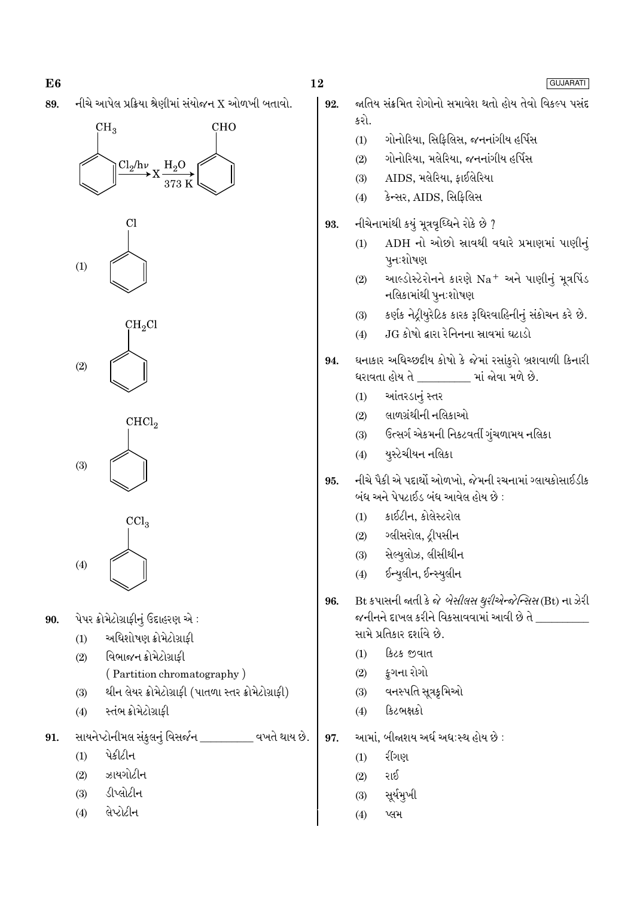નીચે આપેલ પ્રક્રિયા શ્રેણીમાં સંયોજન X ઓળખી બતાવો. 89.











- પેપર ક્રોમેટોગ્રાફીનું ઉદાહરણ એ: 90.
	- અધિશોષણ ક્રોમેટોગ્રાકી  $(1)$
	- વિભાજન ક્રોમેટોગ્રાફી  $(2)$ 
		- (Partition chromatography)
	- થીન લેયર ક્રોમેટોગ્રાફી (પાતળા સ્તર ક્રોમેટોગ્રાફી)  $(3)$
	- સ્તંભ ક્રોમેટોગ્રાકી  $(4)$
- સાયનેપ્ટોનીમલ સંકુલનું વિસર્જન \_\_\_\_\_\_\_\_\_ વખતે થાય છે. 91.
	- પેકીટીન  $(1)$
	- ઝાયગોટીન  $(2)$
	- ડીપ્લોટીન  $(3)$
	- લેપ્ટોટીન  $(4)$

92.

- જ્ઞતિય સંક્રમિત રોગોનો સમાવેશ થતો હોય તેવો વિકલ્પ પસંદ કરો.
- ગોનોરિયા, સિકિલિસ, જનનાંગીય હર્પિસ  $(1)$
- ગોનોરિયા. મલેરિયા. જનનાંગીય હર્પિસ  $(2)$
- AIDS, મલેરિયા, કાઈલેરિયા  $(3)$
- કેન્સર, AIDS, સિફિલિસ  $(4)$
- નીચેનામાંથી કયું મૂત્રવૃધ્ધિને રોકે છે ? 93.
	- ADH નો ઓછો સ્રાવથી વધારે પ્રમાણમાં પાણીનું  $(1)$ પુનઃશોષણ
	- આલ્ડોસ્ટેરોનને કારણે Na+ અને પાણીનું મૂત્રપિંડ  $(2)$ નલિકામાંથી પુનઃશોષણ
	- કર્ણક નેટ્રીયૂરેટિક કારક રૂધિરવાહિનીનું સંકોચન કરે છે.  $(3)$
	- .JG કોષો દ્વારા રેનિનના સ્રાવમાં ઘટાડો  $(4)$
- ઘનાકાર અધિચ્છદીય કોષો કે જેમાં રસાંકુરો બ્રશવાળી કિનારી 94. ધરાવતા હોય તે \_\_\_\_\_\_\_\_\_ માં જોવા મળે છે.
	- આંતરડાનં સ્તર  $(1)$
	- લાળગ્રંથીની નલિકાઓ  $(2)$
	- ઉત્સર્ગ એકમની નિકટવર્તી ગુંચળામય નલિકા  $(3)$
	- યુસ્ટેચીયન નલિકા  $(4)$
- નીચે પૈકી એ પદાર્થો ઓળખો. જેમની રચનામાં ગ્લાયકોસાઈડીક 95. બંધ અને પેપટાઈડ બંધ આવેલ હોય છે :
	- કાઈટીન, કોલેસ્ટરોલ  $(1)$
	- ગ્લીસરોલ, ટ્રીપસીન  $(2)$
	- સેલ્યુલોઝ, લીસીથીન  $(3)$
	- ઈન્યુલીન, ઈન્સ્યુલીન  $(4)$
- Bt કપાસની જાતી કે જે *બેસીલસ થુરીએન્જેન્સિસ* (Bt) ના ઝેરી 96. જનીનને દાખલ કરીને વિકસાવવામાં આવી છે તે \_\_\_\_\_\_\_\_\_\_ સામે પ્રતિકાર દર્શાવે છે.
	- કિટક જવાત  $(1)$
	- કૂગના રોગો  $(2)$
	- વનસ્પતિ સૂત્રકૃમિઓ  $(3)$
	- કિટભક્ષકો  $(4)$
- આમાં, બીજાશય અર્ધ અધ:સ્થ હોય છે : 97.
	- રીંગણ  $(1)$
	- રાઈ  $(2)$
	- સૂર્યમૂખી  $(3)$
	- $(4)$ પ્લમ

## GUJARATI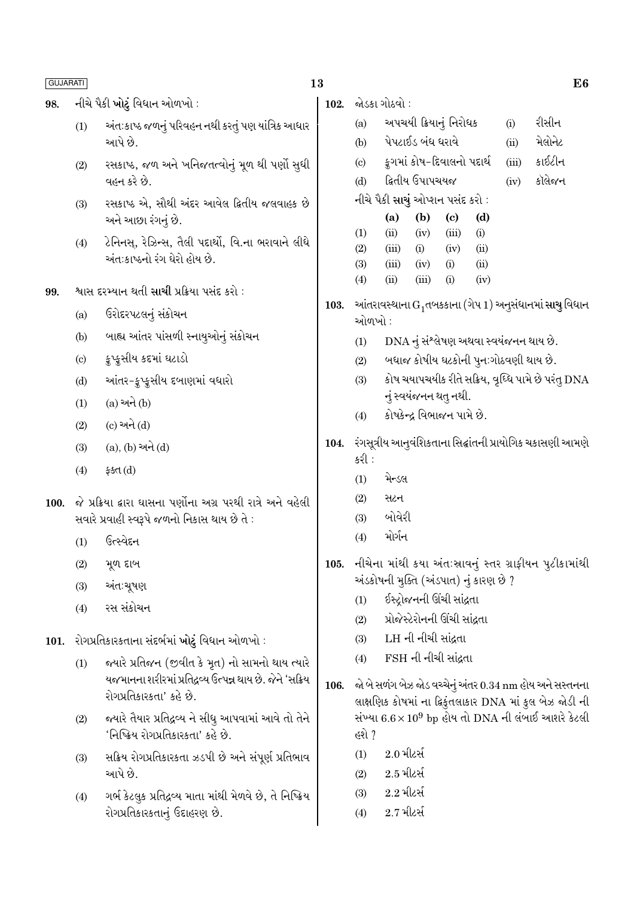#### નીચે પૈકી ખોટું વિધાન ઓળખો : 98.

- અંતઃકાષ્ઠ જળનું પરિવહન નથી કરતું પણ યાંત્રિક આધાર  $(1)$ આપે છે.
- રસકાષ્ઠ, જળ અને ખનિજતત્વોનું મૂળ થી પર્ણો સુધી  $(2)$ વહન કરે છે.
- રસકાષ્ઠ એ. સૌથી અંદર આવેલ ક્રિતીય જલવાહક છે  $(3)$ અને આછા રંગનું છે.
- ટેનિનસ્, રેઝિન્સ, તૈલી પદાર્થો, વિ.ના ભરાવાને લીધે  $(4)$ અંત:કાષ્ઠનો રંગ ઘેરો હોય છે.
- શ્વાસ દરમ્યાન થતી સાચી પ્રક્રિયા પસંદ કરો : 99.
	- ઉરોદરપટલનું સંકોચન  $(a)$
	- બાહ્ય આંતર પાંસળી સ્નાયુઓનું સંકોચન  $(b)$
	- ક્રુપ્ક્સીય કદમાં ઘટાડો  $\left( \mathrm{c}\right)$
	- આંતર-ફ્રપ્ફસીય દબાણમાં વધારો  $(d)$
	- $(1)$  $(a)$  અને  $(b)$
	- (c) અને (d)  $(2)$
	- $(a), (b)$  અને  $(d)$  $(3)$
	- $(4)$ ફક્ત $(d)$
- 100. જે પ્રક્રિયા દ્વારા ઘાસના પર્ણોના અગ્ર પરથી રાત્રે અને વહેલી સવારે પ્રવાહી સ્વરૂપે જળનો નિકાસ થાય છે તે:
	- ઉત્સ્વેદન  $(1)$
	- મૂળ દાબ  $(2)$
	- $(3)$ અંત∶ચૂષણ
	- રસ સંકોચન  $(4)$
- રોગપ્રતિકારકતાના સંદર્ભમાં ખોટું વિધાન ઓળખો :  $101.$ 
	- જ્યારે પ્રતિજન (જીવીત કે મૂત) નો સામનો થાય ત્યારે  $(1)$ યજમાનના શરીરમાં પ્રતિદ્રવ્ય ઉત્પન્ન થાય છે. જેને 'સક્રિય રોગપ્રતિકારકતા' કહે છે.
	- જ્યારે તૈયાર પ્રતિદ્રવ્ય ને સીધુ આપવામાં આવે તો તેને  $(2)$ 'નિષ્ક્રિય રોગપ્રતિકારકતા' કહે છે.
	- સક્રિય રોગપ્રતિકારકતા ઝડપી છે અને સંપૂર્ણ પ્રતિભાવ  $(3)$ આપે છે.
	- ગર્ભ કેટલૂક પ્રતિદ્રવ્ય માતા માંથી મેળવે છે, તે નિષ્ક્રિય  $(4)$ રોગપ્રતિકારકતાનું ઉદાહરણ છે.

102. જોડકા ગોઠવો :

- અપચયી ક્રિયાનું નિરોધક રીસીન  $(a)$  $(i)$ પેપટાઈડ બંધ ધરાવે મેલોનેટ  $(b)$  $(ii)$
- કગમાં કોષ-દિવાલનો પદાર્થ કાઈટીન  $\left( \mathrm{e}\right)$  $(iii)$
- દ્વિતીય ઉપાપચયજ કૉલેજન  $(d)$  $(iv)$
- નીચે પૈકી સાચું ઓપ્શન પસંદ કરો :

|                  | (a)   | (b)   | (c)   | (d)  |
|------------------|-------|-------|-------|------|
| $\left(1\right)$ | (ii)  | (iv)  | (iii) | (i)  |
| (2)              | (iii) | (i)   | (iv)  | (ii) |
| (3)              | (iii) | (iv)  | (i)   | (ii) |
| (4)              | (ii)  | (iii) | (i)   | (iv) |

- 103. આંતરાવસ્થાના  $G_1$ તબકકાના (ગેપ 1) અનુસંધાનમાં સાચુ વિધાન ઓળખો :
	- DNA નું સંશ્લેષણ અથવા સ્વયંજનન થાય છે.  $(1)$
	- બધાજ કોષીય ઘટકોની પૂનઃગોઠવણી થાય છે.  $(2)$
	- કોષ ચયાપચયીક રીતે સક્રિય, વૃધ્ધિ પામે છે પરંતુ DNA  $(3)$ નું સ્વયંજનન થત્ નથી.
	- કોષકેન્દ્ર વિભાજન પામે છે.  $(4)$
- 104. રંગસૂત્રીય આનુવંશિકતાના સિદ્ઘાંતની પ્રાયોગિક ચકાસણી આમણે કરી :
	- મેન્ડલ  $(1)$
	- સટન  $(2)$
	- બોવેરી  $(3)$
	- મોર્ગન  $(4)$
- નીચેના માંથી કયા અંતઃસ્રાવનું સ્તર ગ્રાફીયન પુટીકામાંથી 105. અંડકોષની મુક્તિ (અંડપાત) નું કારણ છે ?
	- ઈસ્ટ્રોજનની ઊંચી સાંદ્રતા  $(1)$
	- પ્રોજેસ્ટેરોનની ઊંચી સાંઢતા  $(2)$
	- LH ની નીચી સાંઢતા  $(3)$
	- FSH ની નીચી સાંઢતા  $(4)$
- જો બે સળંગ બેઝ જોડ વચ્ચેનું અંતર 0.34 nm હોય અને સસ્તનના 106. લાક્ષણિક કોષમાં ના દ્વિકુંતલાકાર DNA માં કુલ બેઝ જોડી ની સંખ્યા  $6.6 \times 10^9$  bp હોય તો DNA ની લંબાઈ આશરે કેટલી હશે ?
	- $2.0$  મીટર્સ  $(1)$
	- $2.5$  મીટર્સ  $(2)$
	- $2.2$  મીટર્સ  $(3)$
	- $2.7$ મીટર્સ  $(4)$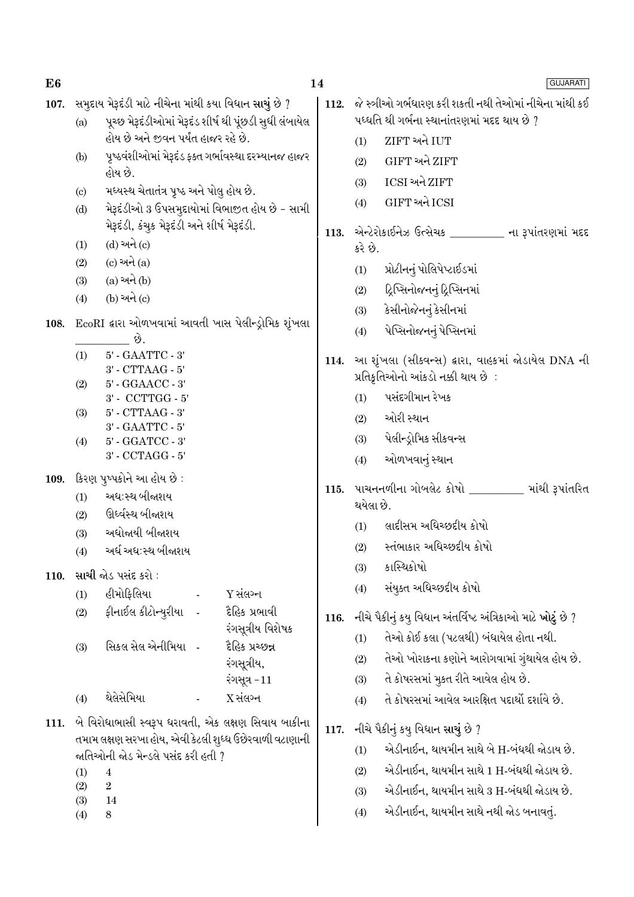| સમુદાય મેરૂદંડી માટે નીચેના માંથી કયા વિધાન સાચું છે ?<br>જે સ્ત્રીઓ ગર્ભધારણ કરી શકતી નથી તેઓમાં નીચેના માંથી કઈ<br>107.<br>112.<br>પધ્ધતિ થી ગર્ભના સ્થાનાંતરણમાં મદદ થાય છે ?<br>પૂચ્છ મેરૂદંડીઓમાં મેરૂદંડ શીર્ષ થી પૂંછડી સુધી લંબાયેલ<br>(a)<br>હોય છે અને જીવન પર્યંત હાજર રહે છે.<br>ZIFT અને IUT<br>(1)<br>પૃષ્ઠવંશીઓમાં મેરૂદંડ ફક્ત ગર્ભાવસ્થા દરમ્યાનજ હાજર<br>(b)<br>GIFT અને ZIFT<br>(2)<br>હોય છે.<br>ICSI અને ZIFT<br>(3)<br>મધ્યસ્થ ચેતાતંત્ર પૃષ્ઠ અને પોલુ હોય છે.<br>$\left( \mathrm{c}\right)$<br>GIFT અને ICSI<br>(4)<br>મેરૂદંડીઓ 3 ઉપસમુદાયોમાં વિભાજીત હોય છે - સામી<br>(d)<br>મેરૂદંડી, કંચુક મેરૂદંડી અને શીર્ષ મેરૂદંડી.<br>એન્ટેરોકાઈનેઝ ઉત્સેચક ________ ના રૂપાંતરણમાં મદદ<br>113.<br>(d) અને (c)<br>(1)<br>કરે છે.<br>$(c)$ અને $(a)$<br>(2)<br>પ્રોટીનનું પોલિપેપ્ટાઈડમાં<br>(1)<br>$(a)$ અને $(b)$<br>(3)<br>દ્રિપ્સિનોજનનું દ્રિપ્સિનમાં<br>(2)<br>$(b)$ અને $(c)$<br>(4)<br>કેસીનોજેનનું કેસીનમાં<br>(3)<br>EcoRI દ્વારા ઓળખવામાં આવતી ખાસ પેલીન્ડ્રોમિક શૃંખલા<br>108.<br>પેપ્સિનોજનનું પેપ્સિનમાં<br>(4)<br>છે.<br>$5'$ - $\text{GAATTC}$ - $3'$<br>(1)<br>આ શૃંખલા (સીકવન્સ) દ્વારા, વાહકમાં જોડાયેલ DNA ની<br>114.<br>$3'$ - CTTAAG - $5'$<br>પ્રતિકૃતિઓનો આંકડો નક્કી થાય છે :<br>5' - GGAACC - 3'<br>(2)<br>પસંદગીમાન રેખક<br>$3'$ - $\mbox{CCTTGG}$ - $5'$<br>(1)<br>$5'$ - $CTTAAG - 3'$<br>(3)<br>ઓરી સ્થાન<br>(2)<br>$3'$ - $\text{GAATTC}$ - $5'$<br>પેલીન્ડ્રોમિક સીકવન્સ<br>(3)<br>5' - GGATCC - 3'<br>(4) |
|-------------------------------------------------------------------------------------------------------------------------------------------------------------------------------------------------------------------------------------------------------------------------------------------------------------------------------------------------------------------------------------------------------------------------------------------------------------------------------------------------------------------------------------------------------------------------------------------------------------------------------------------------------------------------------------------------------------------------------------------------------------------------------------------------------------------------------------------------------------------------------------------------------------------------------------------------------------------------------------------------------------------------------------------------------------------------------------------------------------------------------------------------------------------------------------------------------------------------------------------------------------------------------------------------------------------------------------------------------------------------------------------------------------------------------------------------------------|
|                                                                                                                                                                                                                                                                                                                                                                                                                                                                                                                                                                                                                                                                                                                                                                                                                                                                                                                                                                                                                                                                                                                                                                                                                                                                                                                                                                                                                                                             |
|                                                                                                                                                                                                                                                                                                                                                                                                                                                                                                                                                                                                                                                                                                                                                                                                                                                                                                                                                                                                                                                                                                                                                                                                                                                                                                                                                                                                                                                             |
|                                                                                                                                                                                                                                                                                                                                                                                                                                                                                                                                                                                                                                                                                                                                                                                                                                                                                                                                                                                                                                                                                                                                                                                                                                                                                                                                                                                                                                                             |
|                                                                                                                                                                                                                                                                                                                                                                                                                                                                                                                                                                                                                                                                                                                                                                                                                                                                                                                                                                                                                                                                                                                                                                                                                                                                                                                                                                                                                                                             |
|                                                                                                                                                                                                                                                                                                                                                                                                                                                                                                                                                                                                                                                                                                                                                                                                                                                                                                                                                                                                                                                                                                                                                                                                                                                                                                                                                                                                                                                             |
|                                                                                                                                                                                                                                                                                                                                                                                                                                                                                                                                                                                                                                                                                                                                                                                                                                                                                                                                                                                                                                                                                                                                                                                                                                                                                                                                                                                                                                                             |
|                                                                                                                                                                                                                                                                                                                                                                                                                                                                                                                                                                                                                                                                                                                                                                                                                                                                                                                                                                                                                                                                                                                                                                                                                                                                                                                                                                                                                                                             |
|                                                                                                                                                                                                                                                                                                                                                                                                                                                                                                                                                                                                                                                                                                                                                                                                                                                                                                                                                                                                                                                                                                                                                                                                                                                                                                                                                                                                                                                             |
|                                                                                                                                                                                                                                                                                                                                                                                                                                                                                                                                                                                                                                                                                                                                                                                                                                                                                                                                                                                                                                                                                                                                                                                                                                                                                                                                                                                                                                                             |
|                                                                                                                                                                                                                                                                                                                                                                                                                                                                                                                                                                                                                                                                                                                                                                                                                                                                                                                                                                                                                                                                                                                                                                                                                                                                                                                                                                                                                                                             |
|                                                                                                                                                                                                                                                                                                                                                                                                                                                                                                                                                                                                                                                                                                                                                                                                                                                                                                                                                                                                                                                                                                                                                                                                                                                                                                                                                                                                                                                             |
|                                                                                                                                                                                                                                                                                                                                                                                                                                                                                                                                                                                                                                                                                                                                                                                                                                                                                                                                                                                                                                                                                                                                                                                                                                                                                                                                                                                                                                                             |
|                                                                                                                                                                                                                                                                                                                                                                                                                                                                                                                                                                                                                                                                                                                                                                                                                                                                                                                                                                                                                                                                                                                                                                                                                                                                                                                                                                                                                                                             |
|                                                                                                                                                                                                                                                                                                                                                                                                                                                                                                                                                                                                                                                                                                                                                                                                                                                                                                                                                                                                                                                                                                                                                                                                                                                                                                                                                                                                                                                             |
|                                                                                                                                                                                                                                                                                                                                                                                                                                                                                                                                                                                                                                                                                                                                                                                                                                                                                                                                                                                                                                                                                                                                                                                                                                                                                                                                                                                                                                                             |
|                                                                                                                                                                                                                                                                                                                                                                                                                                                                                                                                                                                                                                                                                                                                                                                                                                                                                                                                                                                                                                                                                                                                                                                                                                                                                                                                                                                                                                                             |
| 3' - CCTAGG - 5'<br>ઓળખવાનું સ્થાન<br>(4)                                                                                                                                                                                                                                                                                                                                                                                                                                                                                                                                                                                                                                                                                                                                                                                                                                                                                                                                                                                                                                                                                                                                                                                                                                                                                                                                                                                                                   |
| કિરણ પુષ્પકોને આ હોય છે :<br>109.                                                                                                                                                                                                                                                                                                                                                                                                                                                                                                                                                                                                                                                                                                                                                                                                                                                                                                                                                                                                                                                                                                                                                                                                                                                                                                                                                                                                                           |
| પાચનનળીના ગોબલેટ કોષો _________ માંથી રૂપાંતરિત<br>115.<br>અધ:સ્થ બીજાશય<br>(1)                                                                                                                                                                                                                                                                                                                                                                                                                                                                                                                                                                                                                                                                                                                                                                                                                                                                                                                                                                                                                                                                                                                                                                                                                                                                                                                                                                             |
| થયેલા છે.<br>ઊર્ધ્વસ્થ બીજાશય<br>(2)                                                                                                                                                                                                                                                                                                                                                                                                                                                                                                                                                                                                                                                                                                                                                                                                                                                                                                                                                                                                                                                                                                                                                                                                                                                                                                                                                                                                                        |
| લાદીસમ અધિચ્છદીય કોષો<br>(1)<br>અધોજાયી બીજાશય<br>(3)                                                                                                                                                                                                                                                                                                                                                                                                                                                                                                                                                                                                                                                                                                                                                                                                                                                                                                                                                                                                                                                                                                                                                                                                                                                                                                                                                                                                       |
| સ્તંભાકાર અધિચ્છદીય કોષો<br>(2)<br>અર્ધ અધ:સ્થ બીજાશય<br>(4)                                                                                                                                                                                                                                                                                                                                                                                                                                                                                                                                                                                                                                                                                                                                                                                                                                                                                                                                                                                                                                                                                                                                                                                                                                                                                                                                                                                                |
| કાસ્થિકોષો<br>(3)<br>સાચી જોડ પસંદ કરો :<br>110.                                                                                                                                                                                                                                                                                                                                                                                                                                                                                                                                                                                                                                                                                                                                                                                                                                                                                                                                                                                                                                                                                                                                                                                                                                                                                                                                                                                                            |
| સંયુક્ત અધિચ્છદીય કોષો<br>(4)<br>હીમોફિલિયા<br>Y સંલગ્ન<br>(1)<br>$\sim$                                                                                                                                                                                                                                                                                                                                                                                                                                                                                                                                                                                                                                                                                                                                                                                                                                                                                                                                                                                                                                                                                                                                                                                                                                                                                                                                                                                    |
| ફીનાઈલ કીટોન્યુરીયા   -<br>દૈહિક પ્રભાવી<br>(2)<br>નીચે પૈકીનું કયુ વિધાન અંતર્વિષ્ટ અંત્રિકાઓ માટે ખોટું છે ?<br>116.                                                                                                                                                                                                                                                                                                                                                                                                                                                                                                                                                                                                                                                                                                                                                                                                                                                                                                                                                                                                                                                                                                                                                                                                                                                                                                                                      |
| રંગસૂત્રીય વિશેષક<br>તેઓ કોઈ કલા (પટલથી) બંધાયેલ હોતા નથી.<br>(1)                                                                                                                                                                                                                                                                                                                                                                                                                                                                                                                                                                                                                                                                                                                                                                                                                                                                                                                                                                                                                                                                                                                                                                                                                                                                                                                                                                                           |
| સિકલ સેલ એનીમિયા   -<br>દ્રહિક પ્રચ્છન્ન<br>(3)<br>તેઓ ખોરાકના કણોને આરોગવામાં ગુંથાયેલ હોય છે.<br>(2)                                                                                                                                                                                                                                                                                                                                                                                                                                                                                                                                                                                                                                                                                                                                                                                                                                                                                                                                                                                                                                                                                                                                                                                                                                                                                                                                                      |
| રંગસૂત્રીય,<br>તે કોષરસમાં મુકત રીતે આવેલ હોય છે.<br>(3)<br>રંગસૂત્ર - $11$                                                                                                                                                                                                                                                                                                                                                                                                                                                                                                                                                                                                                                                                                                                                                                                                                                                                                                                                                                                                                                                                                                                                                                                                                                                                                                                                                                                 |
| થેલેસેમિયા<br>$X$ સંલગ્ન<br>તે કોષરસમાં આવેલ આરક્ષિત પદાર્થો દર્શાવે છે.<br>(4)<br>(4)                                                                                                                                                                                                                                                                                                                                                                                                                                                                                                                                                                                                                                                                                                                                                                                                                                                                                                                                                                                                                                                                                                                                                                                                                                                                                                                                                                      |
| બે વિરોધાભાસી સ્વરૂપ ધરાવતી, એક લક્ષણ સિવાય બાકીના<br>111.                                                                                                                                                                                                                                                                                                                                                                                                                                                                                                                                                                                                                                                                                                                                                                                                                                                                                                                                                                                                                                                                                                                                                                                                                                                                                                                                                                                                  |
| નીચે પૈકીનું કયુ વિધાન સાચું છે ?<br>117.<br>તમામ લક્ષણ સરખા હોય, એવી કેટલી શુધ્ધ ઉછેરવાળી વટાણાની                                                                                                                                                                                                                                                                                                                                                                                                                                                                                                                                                                                                                                                                                                                                                                                                                                                                                                                                                                                                                                                                                                                                                                                                                                                                                                                                                          |
| એડીનાઈન, થાયમીન સાથે બે H-બંધથી જોડાય છે.<br>(1)<br>જાતિઓની જોડ મેન્ડલે પસંદ કરી હતી ?                                                                                                                                                                                                                                                                                                                                                                                                                                                                                                                                                                                                                                                                                                                                                                                                                                                                                                                                                                                                                                                                                                                                                                                                                                                                                                                                                                      |
| એડીનાઈન, થાયમીન સાથે 1 H-બંધથી જોડાય છે.<br>(2)<br>(1)<br>$\overline{4}$                                                                                                                                                                                                                                                                                                                                                                                                                                                                                                                                                                                                                                                                                                                                                                                                                                                                                                                                                                                                                                                                                                                                                                                                                                                                                                                                                                                    |
| (2)<br>$\boldsymbol{2}$<br>એડીનાઈન, થાયમીન સાથે 3 H-બંધથી જોડાય છે.<br>(3)<br>(3)<br>14                                                                                                                                                                                                                                                                                                                                                                                                                                                                                                                                                                                                                                                                                                                                                                                                                                                                                                                                                                                                                                                                                                                                                                                                                                                                                                                                                                     |
| એડીનાઈન, થાયમીન સાથે નથી જોડ બનાવતું.<br>(4)<br>(4)<br>8                                                                                                                                                                                                                                                                                                                                                                                                                                                                                                                                                                                                                                                                                                                                                                                                                                                                                                                                                                                                                                                                                                                                                                                                                                                                                                                                                                                                    |

- $(3)$  $(4)$ 
	- $\bf{8}$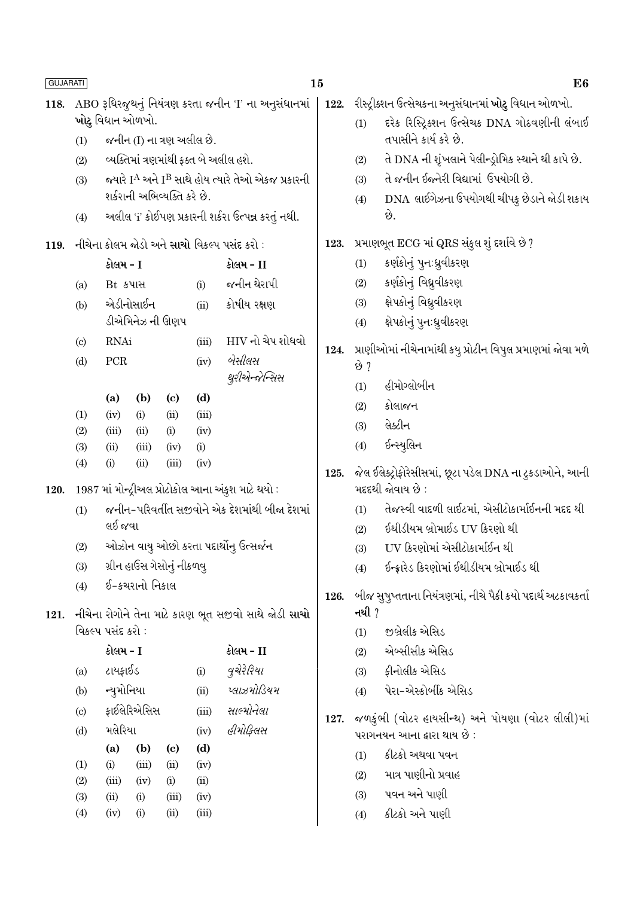| <b>GUJARATI</b> |                                                       |                                                    |                |                             |               |                                                                           | 15   |                                                                       | E <sub>6</sub>                                                              |  |  |
|-----------------|-------------------------------------------------------|----------------------------------------------------|----------------|-----------------------------|---------------|---------------------------------------------------------------------------|------|-----------------------------------------------------------------------|-----------------------------------------------------------------------------|--|--|
| 118.            | ABO રૂધિરજુથનું નિયંત્રણ કરતા જનીન 'I' ના અનુસંધાનમાં |                                                    |                |                             |               |                                                                           | 122. |                                                                       | રીસ્ટ્રીક્શન ઉત્સેચકના અનુસંધાનમાં <b>ખોટુ</b> વિધાન ઓળખો.                  |  |  |
|                 |                                                       | ખોટુ વિધાન ઓળખો.                                   |                |                             |               |                                                                           |      |                                                                       | દરેક રિસ્ટ્રિક્શન ઉત્સેચક DNA ગોઠવણીની લંબાઈ                                |  |  |
|                 | (1)                                                   |                                                    |                | જનીન (I) ના ત્રણ અલીલ છે.   |               |                                                                           |      |                                                                       | તપાસીને કાર્ય કરે છે.                                                       |  |  |
|                 | (2)                                                   |                                                    |                |                             |               | વ્યક્તિમાં ત્રણમાંથી ફક્ત બે અલીલ હશે.                                    |      | (2)                                                                   | તે DNA ની શૃંખલાને પેલીન્ડ્રોમિક સ્થાને થી કાપે છે.                         |  |  |
|                 | (3)                                                   |                                                    |                |                             |               | જ્યારે I <sup>A</sup> અને I <sup>B</sup> સાથે હોય ત્યારે તેઓ એકજ પ્રકારની |      | (3)                                                                   | તે જનીન ઈજનેરી વિદ્યામાં ઉપયોગી છે.                                         |  |  |
|                 |                                                       |                                                    |                | શર્કરાની અભિવ્યક્તિ કરે છે. |               |                                                                           |      | (4)                                                                   | DNA લાઈગેઝના ઉપયોગથી ચીપકુ છેડાને જોડી શકાય                                 |  |  |
|                 | (4)                                                   |                                                    |                |                             |               | અલીલ 'i' કોઈપણ પ્રકારની શર્કરા ઉત્પન્ન કરતું નથી.                         |      |                                                                       | છે.                                                                         |  |  |
| 119.            |                                                       |                                                    |                |                             |               | નીચેના કોલમ જોડો અને સાચો વિકલ્પ પસંદ કરો :                               | 123. |                                                                       | પ્રમાણભૂત ECG માં QRS સંકુલ શું દર્શાવે છે ?                                |  |  |
|                 |                                                       | કોલમ - I                                           |                |                             |               | કોલમ - II                                                                 |      | (1)                                                                   | કર્ણકોનું પુનઃધ્રુવીકરણ                                                     |  |  |
|                 | (a)                                                   | Bt કપાસ                                            |                |                             | (i)           | જનીન થેરાપી                                                               |      | (2)                                                                   | કર્ણકોનું વિધ્રુવીકરણ                                                       |  |  |
|                 | (b)                                                   |                                                    | એડીનોસાઈન      |                             | (ii)          | કોષીય રક્ષણ                                                               |      | (3)                                                                   | ક્ષેપકોનું વિધ્રુવીકરણ                                                      |  |  |
|                 |                                                       |                                                    |                | ડીએમિનેઝ ની ઊણપ             |               |                                                                           |      | (4)                                                                   | ક્ષેપકોનું પુન:ધ્રુવીકરણ                                                    |  |  |
|                 | $\left( \mathrm{c}\right)$                            | <b>RNAi</b>                                        |                |                             | (iii)         | HIV નો ચેપ શોધવો                                                          | 124. |                                                                       | પ્રાણીઓમાં નીચેનામાંથી કયુ પ્રોટીન વિપુલ પ્રમાણમાં જોવા મળે                 |  |  |
|                 | (d)                                                   | ${\mbox{PCR}}$                                     |                |                             | (iv)          | બેસીલસ                                                                    |      | છે ?                                                                  |                                                                             |  |  |
|                 |                                                       |                                                    |                |                             |               | થુરીએન્જેન્સિસ                                                            |      | (1)                                                                   | હીમોગ્લોબીન                                                                 |  |  |
|                 |                                                       | (a)                                                | (b)            | $\left( \mathrm{c}\right)$  | (d)           |                                                                           |      | (2)                                                                   | કોલાજન                                                                      |  |  |
|                 | (1)<br>(2)                                            | (iv)<br>(iii)                                      | (i)<br>(ii)    | (ii)<br>(i)                 | (iii)<br>(iv) |                                                                           |      | (3)                                                                   | લેક્ટીન                                                                     |  |  |
|                 | (3)                                                   | (ii)                                               | (iii)          | (iv)                        | (i)           |                                                                           |      | (4)                                                                   | ઈન્સ્યુલિન                                                                  |  |  |
|                 | (4)                                                   | (i)                                                | (ii)           | (iii)                       | (iv)          |                                                                           | 125. |                                                                       |                                                                             |  |  |
| 120.            |                                                       | 1987 માં મોન્દ્રીઅલ પ્રોટોકોલ આના અંકુશ માટે થયો : |                |                             |               |                                                                           |      |                                                                       | જેલ ઈલેક્ટ્રોફોરેસીસમાં, છૂટા પડેલ DNA ના ટુકડાઓને, આની<br>મદદથી જોવાય છે : |  |  |
|                 | (1)                                                   |                                                    |                |                             |               | જનીન-પરિવર્તીત સજીવોને એક દેશમાંથી બીજા દેશમાં                            |      | (1)                                                                   | તેજસ્વી વાદળી લાઈટમાં, એસીટોકાર્માઈનની મદદ થી                               |  |  |
|                 |                                                       | લઈ જવા                                             |                |                             |               |                                                                           |      | (2)                                                                   | ઈથીડીયમ બ્રોમાઈડ UV કિરણો થી                                                |  |  |
|                 | (2)                                                   |                                                    |                |                             |               | ઓઝોન વાયુ ઓછો કરતા પદાર્થોનુ ઉત્સર્જન                                     |      | (3)                                                                   | UV કિરણોમાં એસીટોકાર્માઈન થી                                                |  |  |
|                 | (3)                                                   |                                                    |                | ગ્રીન હાઉસ ગેસોનું નીકળવુ   |               |                                                                           |      | (4)                                                                   | ઈન્ફ્રારેડ કિરણોમાં ઈથીડીયમ બ્રોમાઈડ થી                                     |  |  |
|                 | (4)                                                   |                                                    | ઈ-કચરાનો નિકાલ |                             |               |                                                                           |      |                                                                       |                                                                             |  |  |
|                 |                                                       |                                                    |                |                             |               |                                                                           | 126. | બીજ સુષુપ્તતાના નિયંત્રણમાં, નીચે પૈકી કયો પદાર્થ અટકાવકર્તા<br>નથી ? |                                                                             |  |  |
| 121.            |                                                       | વિકલ્પ પસંદ કરો :                                  |                |                             |               | નીચેના રોગોને તેના માટે કારણ ભૂત સજીવો સાથે જોડી સાચો                     |      | (1)                                                                   | જીબ્રેલીક એસિડ                                                              |  |  |
|                 |                                                       | કોલમ - I                                           |                |                             |               | કોલમ - II                                                                 |      | (2)                                                                   | એબ્સીસીક એસિડ                                                               |  |  |
|                 | (a)                                                   | ટાયફાઈડ                                            |                |                             | (i)           | વુચેરેરિયા                                                                |      | (3)                                                                   | ફીનોલીક એસિડ                                                                |  |  |
|                 | (b)                                                   | ન્યુમોનિયા                                         |                |                             | (ii)          | પ્લાઝમોડિયમ                                                               |      | (4)                                                                   | પેરા-એસ્કોર્બીક એસિડ                                                        |  |  |
|                 | $\left( \text{c} \right)$                             |                                                    | ફાઈલેરિએસિસ    |                             | (iii)         | સાલ્મોનેલા                                                                |      |                                                                       |                                                                             |  |  |
|                 | (d)                                                   | મલેરિયા                                            |                |                             | (iv)          | હીમોકિલસ                                                                  | 127. |                                                                       | જળકુંભી (વોટર હાયસીન્થ) અને પોયણા (વોટર લીલી)માં                            |  |  |
|                 |                                                       | (a)                                                | (b)            | $\left( \mathrm{c}\right)$  | (d)           |                                                                           |      |                                                                       | પરાગનયન આના દ્વારા થાય છે :                                                 |  |  |
|                 | (1)                                                   | (i)                                                | (iii)          | (ii)                        | (iv)          |                                                                           |      | (1)                                                                   | કીટકો અથવા પવન                                                              |  |  |
|                 | (2)                                                   | (iii)                                              | (iv)           | (i)                         | (ii)          |                                                                           |      | (2)                                                                   | માત્ર પાણીનો પ્રવાહ<br>પવન અને પાણી                                         |  |  |
|                 | (3)                                                   | (ii)                                               | (i)            | (iii)                       | (iv)          |                                                                           |      | (3)                                                                   |                                                                             |  |  |
|                 | (4)                                                   | (iv)                                               | (i)            | (ii)                        | (iii)         |                                                                           |      | (4)                                                                   | કીટકો અને પાણી                                                              |  |  |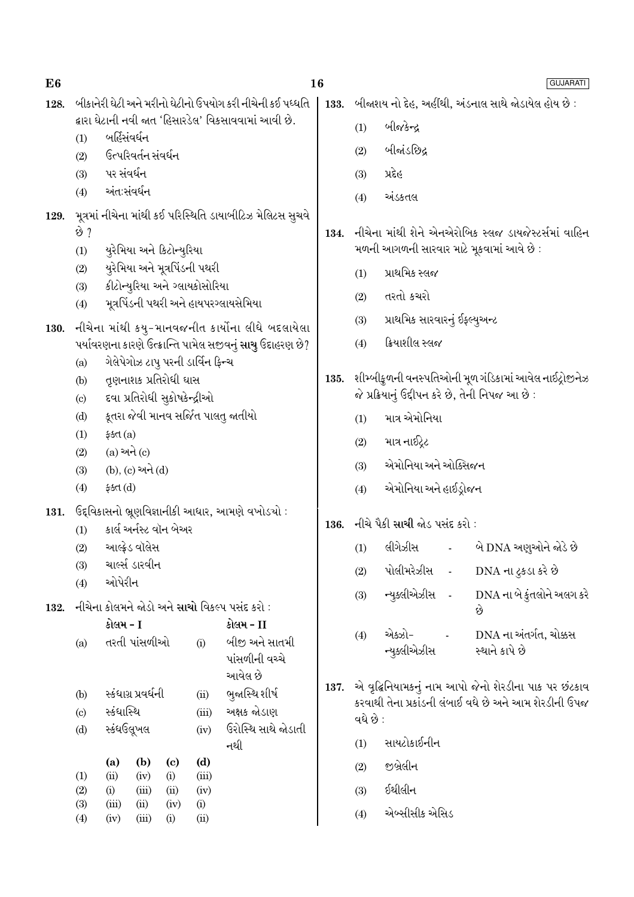| E <sub>6</sub> |                                                                                       |                                                                                                                                                                                                          |                     |                           |                                   |                                                                   | 16                            |                       |                                                     |        | <b>GUJARATI</b>                                        |  |
|----------------|---------------------------------------------------------------------------------------|----------------------------------------------------------------------------------------------------------------------------------------------------------------------------------------------------------|---------------------|---------------------------|-----------------------------------|-------------------------------------------------------------------|-------------------------------|-----------------------|-----------------------------------------------------|--------|--------------------------------------------------------|--|
| 128.           |                                                                                       |                                                                                                                                                                                                          |                     |                           |                                   | બીકાનેરી ઘેટી અને મરીનો ઘેટીનો ઉપયોગ કરી નીચેની કઈ પધ્ધતિ         | 133.                          |                       | બીજાશય નો દેહ, અહીંથી, અંડનાલ સાથે જોડાયેલ હોય છે : |        |                                                        |  |
|                |                                                                                       |                                                                                                                                                                                                          |                     |                           |                                   | દ્વારા ઘેટાની નવી જાત 'હિસારડેલ' વિકસાવવામાં આવી છે.              |                               | (1)                   | બીજકેન્દ્ર                                          |        |                                                        |  |
|                | બર્હિસંવર્ધન<br>(1)<br>ઉત્પરિવર્તન સંવર્ધન                                            |                                                                                                                                                                                                          |                     |                           |                                   |                                                                   |                               | (2)                   | બીજાંડછિદ્ર                                         |        |                                                        |  |
|                | (2)<br>(3)                                                                            | પર સંવર્ધન                                                                                                                                                                                               |                     |                           |                                   |                                                                   |                               | (3)                   | પ્રદેહ                                              |        |                                                        |  |
|                | (4)                                                                                   | અંતઃસંવર્ધન                                                                                                                                                                                              |                     |                           |                                   |                                                                   |                               |                       |                                                     |        |                                                        |  |
| 129.           |                                                                                       |                                                                                                                                                                                                          |                     |                           |                                   | મૂત્રમાં નીચેના માંથી કઈ પરિસ્થિતિ ડાયાબીટિઝ મેલિટસ સુચવે         |                               | (4)                   | અંડકતલ                                              |        |                                                        |  |
|                | છે ?                                                                                  |                                                                                                                                                                                                          |                     |                           |                                   |                                                                   | 134.                          |                       |                                                     |        | નીચેના માંથી શેને એનએરોબિક સ્લજ ડાયજેસ્ટર્સમાં વાહિન   |  |
|                | (1)                                                                                   |                                                                                                                                                                                                          |                     | યુરેમિયા અને કિટોન્યુરિયા |                                   |                                                                   |                               |                       |                                                     |        | મળની આગળની સારવાર માટે મૂકવામાં આવે છે :               |  |
|                | (2)                                                                                   |                                                                                                                                                                                                          |                     |                           | યુરેમિયા અને મૂત્રપિંડની પથરી     |                                                                   |                               | (1)                   | પ્રાથમિક સ્લજ                                       |        |                                                        |  |
|                | કીટોન્યુરિયા અને ગ્લાયકોસોરિયા<br>(3)<br>મૂત્રપિંડની પથરી અને હાયપરગ્લાયસેમિયા<br>(4) |                                                                                                                                                                                                          |                     |                           |                                   |                                                                   |                               | (2)                   | તરતો કચરો                                           |        |                                                        |  |
|                |                                                                                       |                                                                                                                                                                                                          |                     |                           |                                   |                                                                   |                               | (3)                   | પ્રાથમિક સારવારનું ઈફ્લ્યુઅન્ટ                      |        |                                                        |  |
| 130.           | નીચેના માંથી કયુ-માનવજનીત કાર્યોના લીધે બદલાયેલા                                      |                                                                                                                                                                                                          |                     |                           |                                   |                                                                   |                               |                       |                                                     |        |                                                        |  |
|                |                                                                                       |                                                                                                                                                                                                          |                     |                           |                                   | પર્યાવરણના કારણે ઉત્ક્રાન્તિ પામેલ સજીવનું <b>સાચુ</b> ઉદાહરણ છે? |                               | (4)                   | ક્રિયાશીલ સ્લજ                                      |        |                                                        |  |
|                | (a)<br>(b)                                                                            |                                                                                                                                                                                                          |                     |                           | ગેલેપેગોઝ ટાપુ પરની ડાર્વિન ફિન્ચ |                                                                   | 135.                          |                       |                                                     |        | શીમ્બીકુળની વનસ્પતિઓની મૂળ ગંડિકામાં આવેલ નાઈટ્રોજીનેઝ |  |
|                |                                                                                       | તૃણનાશક પ્રતિરોધી ઘાસ<br>દવા પ્રતિરોધી સુકોષકેન્દ્રીઓ<br>$\left( \mathrm{c}\right)$<br>કૂતરા જેવી માનવ સર્જિત પાલતુ જાતીયો<br>(d)<br>(1)<br>\$5d(a)<br>$(a)$ અને $(c)$<br>(2)<br>$(b)$ , $(c)$ અને $(d)$ |                     |                           |                                   |                                                                   |                               |                       |                                                     |        | જે પ્રક્રિયાનું ઉદ્દીપન કરે છે, તેની નિપજ આ છે :       |  |
|                |                                                                                       |                                                                                                                                                                                                          |                     |                           |                                   |                                                                   |                               | (1)                   | માત્ર એમોનિયા                                       |        |                                                        |  |
|                |                                                                                       |                                                                                                                                                                                                          |                     |                           |                                   |                                                                   |                               | (2)                   | માત્ર નાઈટ્રેટ                                      |        |                                                        |  |
|                |                                                                                       |                                                                                                                                                                                                          |                     |                           |                                   |                                                                   |                               | (3)                   | એમોનિયા અને ઓક્સિજન                                 |        |                                                        |  |
|                | (3)                                                                                   |                                                                                                                                                                                                          |                     |                           |                                   |                                                                   |                               |                       |                                                     |        |                                                        |  |
|                | (4)                                                                                   | ફક્ત $(d)$                                                                                                                                                                                               |                     |                           |                                   |                                                                   | (4)                           | એમોનિયા અને હાઈડ્રોજન |                                                     |        |                                                        |  |
| 131.           | ઉદ્દવિકાસનો ભ્રૂણવિજ્ઞાનીકી આધાર, આમણે વખોડચો :<br>કાર્લ અર્નસ્ટ વૉન બેઅર             |                                                                                                                                                                                                          |                     |                           | 136.                              |                                                                   | નીચે પૈકી સાચી જોડ પસંદ કરો : |                       |                                                     |        |                                                        |  |
|                | (2)                                                                                   | (1)<br>આલ્ફ્રેડ વૉલેસ                                                                                                                                                                                    |                     |                           |                                   |                                                                   |                               | (1)                   | લીગેઝીસ -                                           |        | બે DNA અણુઓને જોડે છે                                  |  |
|                | (3)                                                                                   |                                                                                                                                                                                                          | ચાર્લ્સ ડારવીન      |                           |                                   |                                                                   |                               | (2)                   | પોલીમરેઝીસ                                          | $\sim$ | DNA ના ટુકડા કરે છે                                    |  |
|                | (4)                                                                                   | ઓપેરીન                                                                                                                                                                                                   |                     |                           |                                   |                                                                   |                               |                       |                                                     |        |                                                        |  |
| 132.           |                                                                                       |                                                                                                                                                                                                          |                     |                           |                                   | નીચેના કોલમને જોડો અને સાચો વિકલ્પ પસંદ કરો :                     |                               | (3)                   | ન્યુક્લીએઝીસ -                                      |        | DNA ના બે કુંતલોને અલગ કરે<br>છે                       |  |
|                | કોલમ - I                                                                              |                                                                                                                                                                                                          |                     |                           |                                   | કોલમ - II                                                         |                               | (4)                   | એક્ઝો-                                              |        | DNA ના અંતર્ગત, ચોક્કસ                                 |  |
|                | (a)                                                                                   | તરતી પાંસળીઓ<br>(i)                                                                                                                                                                                      |                     |                           |                                   | બીજી અને સાતમી                                                    |                               |                       | ન્યુકલીએઝીસ                                         |        | સ્થાને કાપે છે                                         |  |
|                |                                                                                       |                                                                                                                                                                                                          |                     |                           |                                   | પાંસળીની વચ્ચે<br>આવેલ છે                                         |                               |                       |                                                     |        |                                                        |  |
|                | (b)                                                                                   |                                                                                                                                                                                                          | સ્કંધાગ્ર પ્રવર્ધની |                           | (ii)                              | ભુજાસ્થિ શીર્ષ                                                    | 137.                          |                       |                                                     |        | એ વૃદ્ધિનિયામકનું નામ આપો જેનો શેરડીના પાક પર છંટકાવ   |  |
|                | $\left( \mathrm{c} \right)$                                                           | સ્કંધાસ્થિ                                                                                                                                                                                               |                     |                           | (iii)                             | અક્ષક જોડાણ                                                       |                               | વધે છે :              |                                                     |        | કરવાથી તેના પ્રકાંડની લંબાઈ વધે છે અને આમ શેરડીની ઉપજ  |  |
|                | (d)                                                                                   | સ્કંધઉલૂખલ<br>(iv)                                                                                                                                                                                       |                     |                           |                                   | ઉરોસ્થિ સાથે જોડાતી                                               |                               |                       |                                                     |        |                                                        |  |
|                |                                                                                       |                                                                                                                                                                                                          |                     |                           |                                   | નથી                                                               |                               | (1)                   | સાયટોકાઈનીન                                         |        |                                                        |  |
|                | (1)                                                                                   | (a)<br>(ii)                                                                                                                                                                                              | (b)<br>(iv)         | (c)<br>(i)                | (d)<br>(iii)                      |                                                                   |                               | (2)                   | જીબ્રેલીન                                           |        |                                                        |  |
|                | (2)                                                                                   | (i)<br>(iii)<br>(iv)<br>(ii)                                                                                                                                                                             |                     |                           | (3)                               | ઈથીલીન                                                            |                               |                       |                                                     |        |                                                        |  |
|                | (3)<br>(4)                                                                            | (iii)<br>(iv)                                                                                                                                                                                            | (ii)<br>(iii)       | (iv)<br>(i)               | (i)<br>(ii)                       |                                                                   |                               | (4)                   | એબ્સીસીક એસિડ                                       |        |                                                        |  |
|                |                                                                                       |                                                                                                                                                                                                          |                     |                           |                                   |                                                                   |                               |                       |                                                     |        |                                                        |  |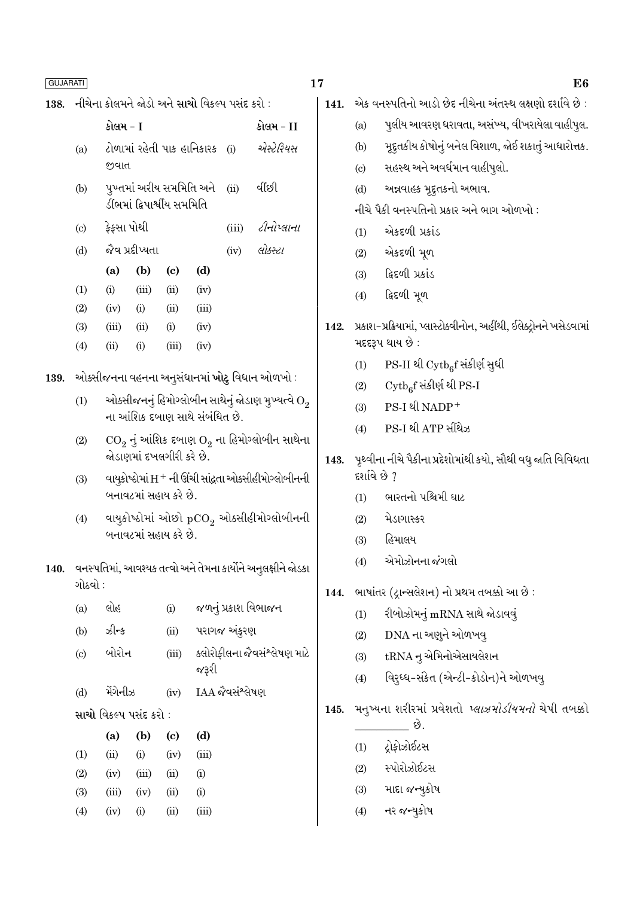નીચેના કોલમને જોડો અને સાચો વિકલ્પ પસંદ કરો : 138.

- કોલમ T કોલમ – II ટોળામાં રહેતી પાક હાનિકારક (i) એસ્ટ્રેરિયસ  $(a)$ જવાત
- પુખ્તમાં અરીય સમમિતિ અને વીંધ્યી  $(ii)$  $(b)$ ડીંભમાં દ્વિપાર્શ્વીય સમમિતિ
- કેકસા પોથી *ટીનોપ્લાના*  $\left( \mathrm{c}\right)$  $(iii)$
- જેવ પ્રદીપ્યતા લોકસ્ટા  $(d)$  $(iv)$  $(b)$  $\left( \mathrm{c}\right)$  $(d)$  $(a)$  $(iii)$  $(ii)$  $(iv)$  $(1)$  $(i)$  $(2)$  $(iv)$  $(i)$  $(ii)$  $(iii)$  $(3)$  $(iii)$  $(ii)$  $(i)$  $(iv)$  $(i)$  $(iv)$  $(4)$  $(ii)$  $(iii)$

ઓક્સીજનના વહનના અનુસંધાનમાં ખોટુ વિધાન ઓળખો : 139.

- ઓક્સીજનનું હિમોગ્લોબીન સાથેનું જોડાણ મુખ્યત્વે  $\mathrm{O}_2$  $(1)$ ના આંશિક દબાણ સાથે સંબંધિત છે.
- $CO<sub>2</sub>$  નું આંશિક દબાણ  $O<sub>2</sub>$  ના હિમોગ્લોબીન સાથેના  $(2)$ જોડાણમાં દખલગીરી કરે છે.
- વાયૂકોષ્ઠોમાં H + ની ઊંચી સાંદ્રતા ઓક્સીહીમોગ્લોબીનની  $(3)$ બનાવટમાં સહાય કરે છે.
- વાયુકોષ્ઠોમાં ઓછો pCO, ઓક્સીહીમોગ્લોબીનની  $(4)$ બનાવટમાં સહાય કરે છે.
- 140. વનસ્પતિમાં, આવશ્યક તત્વો અને તેમના કાર્યોને અનુલક્ષીને જોડકા ગોઠવો :

|                            | (b)<br>(a) | $\left( \mathrm{c}\right)$ | (d)                                   |  |  |  |  |  |
|----------------------------|------------|----------------------------|---------------------------------------|--|--|--|--|--|
| સાચો વિકલ્પ પસંદ કરો :     |            |                            |                                       |  |  |  |  |  |
| (d)                        | મેંગેનીઝ   | (iv)                       | IAA જૈવસંશ્લેષણ                       |  |  |  |  |  |
| $\left( \mathrm{c}\right)$ | બોરોન      | (iii)                      | ક્લોરોફીલના જૈવસંશ્લેષણ માટે<br>જરૂરી |  |  |  |  |  |
| (b)                        | ઝીન્ક      | (ii)                       | પરાગજ અંકુરણ                          |  |  |  |  |  |
| (a)                        | લોહ        | (i)                        | જળનું પ્રકાશ વિભાજન                   |  |  |  |  |  |

|                   | ια,   | 1 N J | ぃ    | w        |
|-------------------|-------|-------|------|----------|
| $\rm(1)$          | (ii)  | (i)   | (iv) | (iii)    |
| $\rm(2)$          | (iv)  | (iii) | (ii) | $\rm(i)$ |
| (3)               | (iii) | (iv)  | (ii) | $\rm(i)$ |
| $\left( 4\right)$ | (iv)  | (i)   | (ii) | (iii)    |

- એક વનસ્પતિનો આડો છેદ નીચેના અંતસ્થ લક્ષણો દર્શાવે છે : 141. પુલીય આવરણ ધરાવતા, અસંખ્ય, વીખરાયેલા વાહીપુલ.  $(a)$ મુદ્દતકીય કોષોનું બનેલ વિશાળ, જોઈ શકાતું આધારોત્તક.  $(b)$ સહસ્થ અને અવર્ધમાન વાહીપુલો.  $\left( \mathrm{c}\right)$ અન્નવાહક મૂદ્દતકનો અભાવ.  $(d)$ નીચે પૈકી વનસ્પતિનો પ્રકાર અને ભાગ ઓળખો : એકદળી પ્રકાંડ  $(1)$ એકદળી મૂળ  $(2)$ ફિદળી પ્રકાંડ  $(3)$ દ્વિદળી મૂળ  $(4)$ 142. પ્રકાશ-પ્રક્રિયામાં, પ્લાસ્ટોક્વીનોન, અહીંથી, ઈલેક્ટ્રોનને ખસેડવામાં મદદરૂપ થાય છે : PS-II થી Cytbef સંકીર્ણ સુધી  $(1)$  $\mathrm{Cytb}_{6}$ f સંકીર્ણ થી PS-I  $(2)$  $PS-I$  थी  $NADP^+$  $(3)$ PS-I थी ATP भीथे- $(4)$ પૃથ્વીના નીચે પૈકીના પ્રદેશોમાંથી કયો, સૌથી વધુ જાતિ વિવિધતા 143. દર્શાવે છે ? ભારતનો પશ્ચિમી ઘાટ  $(1)$ મેડાગાસ્કર  $(2)$ હિમાલય  $(3)$ એમોઝોનના જંગલો  $(4)$
- ભાષાંતર (દ્રાન્સલેશન) નો પ્રથમ તબક્કો આ છે: 144.
	- રીબોઝોમનું mRNA સાથે જોડાવવું  $(1)$
	- DNA ના અણુને ઓળખવ્  $(2)$
	- tRNA ન્ એમિનોએસાયલેશન  $(3)$
	- વિરુઘ્ધ-સંકેત (એન્ટી-કોડોન)ને ઓળખવુ  $(4)$
- મનુષ્યના શરીરમાં પ્રવેશતો *પ્લાઝમોડીયમનો* ચેપી તબક્કો  $145.$ 
	- છે. ટોકોઝોઈટસ  $(1)$
	- સ્પોરોઝોઈટસ  $(2)$
	- માદા જન્યુકોષ  $(3)$
	- નર જન્યકોષ  $(4)$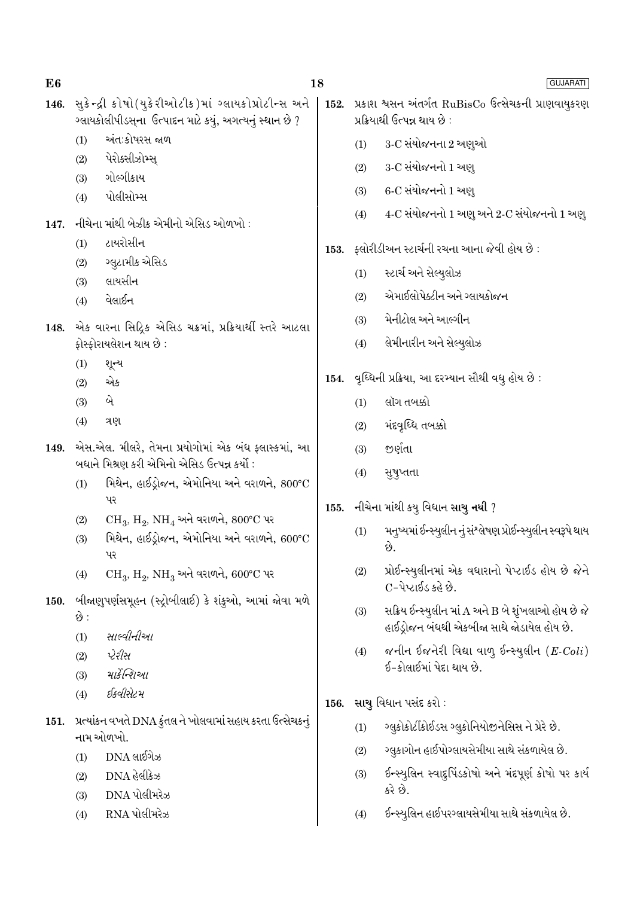| E6   |                                                                                                                | 18   |                                                                                     | <b>GUJARATI</b>                                              |  |  |
|------|----------------------------------------------------------------------------------------------------------------|------|-------------------------------------------------------------------------------------|--------------------------------------------------------------|--|--|
| 146. | સુકેન્દ્રી કોષો(યુકેરીઓટીક)માં ગ્લાયકોપ્રોટીન્સ અને<br>ગ્લાયકોલીપીડસ્ના ઉત્પાદન માટે કયું, અગત્યનું સ્થાન છે ? | 152. | પ્રકાશ શ્વસન અંતર્ગત RuBisCo ઉત્સેચકની પ્રાણવાયુકરણ<br>પ્રક્રિયાથી ઉત્પન્ન થાય છે : |                                                              |  |  |
|      | અંતઃકોષરસ જાળ<br>(1)                                                                                           |      | (1)                                                                                 | 3-C સંયોજનના 2 અણુઓ                                          |  |  |
|      | પેરોક્સીઝોમ્સ્<br>(2)                                                                                          |      | (2)                                                                                 | 3-C સંયોજનનો 1 અણ્                                           |  |  |
|      | ગોલ્ગીકાય<br>(3)                                                                                               |      | (3)                                                                                 | 6-C સંયોજનનો 1 અણ્                                           |  |  |
|      | પોલીસોમ્સ<br>(4)                                                                                               |      | (4)                                                                                 | 4-C સંયોજનનો 1 અણુ અને 2-C સંયોજનનો 1 અણુ                    |  |  |
| 147. | નીચેના માંથી બેઝીક એમીનો એસિડ ઓળખો :                                                                           |      |                                                                                     |                                                              |  |  |
|      | ટાયરોસીન<br>(1)                                                                                                |      |                                                                                     | 153. ફ્લોરીડીઅન સ્ટાર્ચની રચના આના જેવી હોય છે :             |  |  |
|      | ગ્લુટામીક એસિડ<br>(2)                                                                                          |      | (1)                                                                                 | સ્ટાર્ચ અને સેલ્યુલોઝ                                        |  |  |
|      | લાયસીન<br>(3)<br>વેલાઈન                                                                                        |      | (2)                                                                                 | એમાઈલોપેક્ટીન અને ગ્લાયકોજન                                  |  |  |
|      | (4)                                                                                                            |      | (3)                                                                                 | મેનીટોલ અને આલ્ગીન                                           |  |  |
| 148. | એક વારના સિદ્રિક એસિડ ચક્રમાં, પ્રક્રિયાર્થી સ્તરે આટલા                                                        |      |                                                                                     | લેમીનારીન અને સેલ્યુલોઝ                                      |  |  |
|      | ફોસ્ફોરાયલેશન થાય છે :                                                                                         |      | (4)                                                                                 |                                                              |  |  |
|      | (1)<br>શૂન્ય<br>એક<br>(2)                                                                                      | 154. |                                                                                     | વૃધ્ધિની પ્રક્રિયા, આ દરમ્યાન સૌથી વધુ હોય છે :              |  |  |
|      | બે<br>(3)                                                                                                      |      | (1)                                                                                 | લૉગ તબક્કો                                                   |  |  |
|      | (4)<br>ત્રણ                                                                                                    |      | (2)                                                                                 | મંદવૃધ્ધિ તબક્કો                                             |  |  |
| 149. | એસ.એલ. મીલરે, તેમના પ્રયોગોમાં એક બંધ ફ્લાસ્કમાં, આ                                                            |      | (3)                                                                                 | જીર્ણતા                                                      |  |  |
|      | બધાને મિશ્રણ કરી એમિનો એસિડ ઉત્પન્ન કર્યો :                                                                    |      |                                                                                     |                                                              |  |  |
|      | મિથેન, હાઈડ્રોજન, એમોનિયા અને વરાળને, 800°C<br>(1)                                                             |      | (4)                                                                                 | સુષુપ્તતા                                                    |  |  |
|      | પર                                                                                                             | 155. | નીચેના માંથી કયુ વિધાન સાચુ નથી ?                                                   |                                                              |  |  |
|      | $CH_3$ , $H_2$ , $NH_4$ અને વરાળને, $800^{\circ}$ C પર<br>(2)                                                  |      | (1)                                                                                 | મનુષ્યમાં ઈન્સ્યુલીન નું સંશ્લેષણ પ્રોઈન્સ્યુલીન સ્વરૂપે થાય |  |  |
|      | મિથેન, હાઈડ્રોજન, એમોનિયા અને વરાળને, 600°C<br>(3)<br>પર                                                       |      |                                                                                     | છે.                                                          |  |  |
|      | $CH_3$ , $H_2$ , $NH_3$ અને વરાળને, 600°C પર<br>(4)                                                            |      | (2)                                                                                 | પ્રોઈન્સ્યુલીનમાં એક વધારાનો પેપ્ટાઈડ હોય છે જેને            |  |  |
|      |                                                                                                                |      |                                                                                     | C-પેપ્ટાઈડ કહે છે.                                           |  |  |
| 150. | બીજાણુપર્ણસમૂહન (સ્ટ્રોબીલાઈ) કે શંકુઓ, આમાં જોવા મળે<br>છે :                                                  |      | (3)                                                                                 | સક્રિય ઈન્સ્યુલીન માં A અને B બે શૃંખલાઓ હોય છે જે           |  |  |
|      | સાલ્વીનીઆ<br>(1)                                                                                               |      |                                                                                     | હાઈડ્રોજન બંધથી એકબીજા સાથે જોડાયેલ હોય છે.                  |  |  |
|      | પ્ટેરીસ<br>(2)                                                                                                 |      | (4)                                                                                 | જનીન ઈજનેરી વિદ્યા વાળુ ઈન્સ્યુલીન $(E\text{-}Coli)$         |  |  |
|      | માર્કેન્શિઓ<br>(3)                                                                                             |      |                                                                                     | ઈ-કોલાઈમાં પેદા થાય છે.                                      |  |  |
|      | ઈક્વીસેટમ<br>(4)                                                                                               | 156. |                                                                                     | સાચુ વિધાન પસંદ કરો :                                        |  |  |
| 151. | પ્રત્યાંકન વખતે DNA કુંતલ ને ખોલવામાં સહાય કરતા ઉત્સેચકનું                                                     |      |                                                                                     |                                                              |  |  |
|      | નામ ઓળખો.                                                                                                      |      | (1)                                                                                 | ગ્લુકોકોર્ટીકોઈડસ ગ્લુકોનિયોજીનેસિસ ને પ્રેરે છે.            |  |  |
|      | $DNA$ લાઈગેઝ<br>(1)                                                                                            |      | (2)                                                                                 | ગ્લુકાગોન હાઈપોગ્લાયસેમીયા સાથે સંકળાયેલ છે.                 |  |  |
|      | $DNA$ હેલીકેઝ<br>(2)                                                                                           |      | (3)                                                                                 | ઈન્સ્યુલિન સ્વાદુપિંડકોષો અને મંદપૂર્ણ કોષો પર કાર્ય         |  |  |
|      | DNA પોલીમરેઝ<br>(3)                                                                                            |      |                                                                                     | કરે છે.                                                      |  |  |
|      | RNA પોલીમરેઝ<br>(4)                                                                                            |      | (4)                                                                                 | ઈન્સ્યુલિન હાઈપરગ્લાયસેમીયા સાથે સંકળાયેલ છે.                |  |  |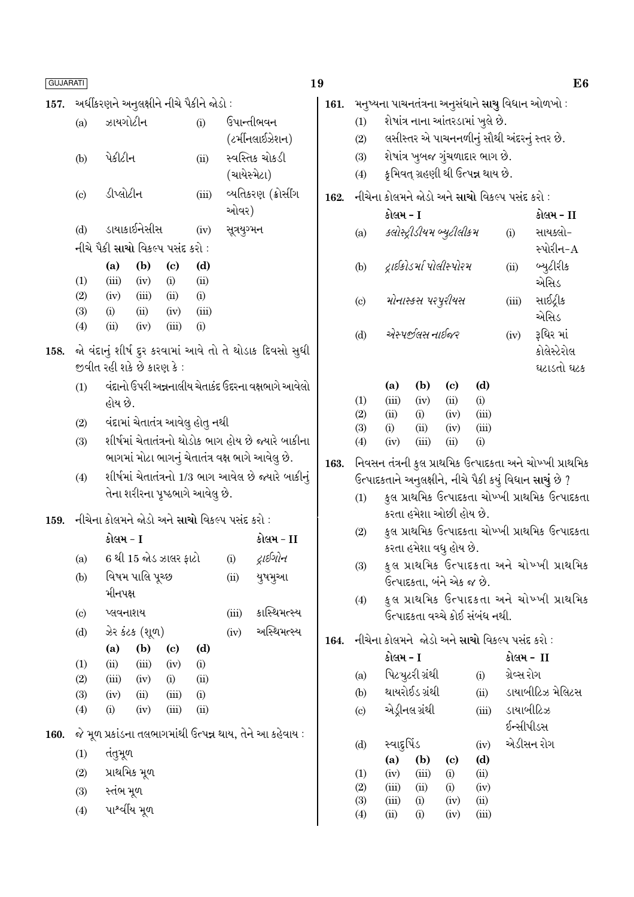| <b>GUJARATI</b> |                                          |                                                                                        |                 |               |                                  |                                |                                                                |  |  |
|-----------------|------------------------------------------|----------------------------------------------------------------------------------------|-----------------|---------------|----------------------------------|--------------------------------|----------------------------------------------------------------|--|--|
| 157.            | અર્ધીકરણને અનુલક્ષીને નીચે પૈકીને જોડો : |                                                                                        |                 |               |                                  |                                |                                                                |  |  |
|                 | (a)                                      | ઝાયગોટીન                                                                               |                 |               | (i)                              |                                | ઉપાન્તીભવન<br>(ટર્મીનલાઈઝેશન)                                  |  |  |
|                 | (b)                                      | પેકીટીન                                                                                |                 |               | (ii)                             | સ્વસ્તિક ચોકડી<br>(ચાયેસ્મેટા) |                                                                |  |  |
|                 | $\left( \mathrm{c} \right)$              | ડીપ્લોટીન                                                                              |                 |               | (iii)                            |                                | વ્યતિકરણ (ક્રોસીંગ<br>ઓવર)                                     |  |  |
|                 | (d)                                      |                                                                                        | ડાયાકાઈનેસીસ    |               | (iv)                             | સૂત્રયુગ્મન                    |                                                                |  |  |
|                 |                                          | નીચે પૈકી સાચો વિકલ્પ પસંદ કરો :                                                       |                 |               |                                  |                                |                                                                |  |  |
|                 |                                          | (a)                                                                                    | (b)             | (c)           | (d)                              |                                |                                                                |  |  |
|                 | (1)                                      | (iii)                                                                                  | $(iv)$ (i)      |               | (ii)                             |                                |                                                                |  |  |
|                 | (2)                                      | (iv)                                                                                   | $(iii)$ $(ii)$  |               | (i)                              |                                |                                                                |  |  |
|                 | (3)                                      | (i)                                                                                    |                 | $(ii)$ $(iv)$ | (iii)                            |                                |                                                                |  |  |
|                 | $\left( 4\right)$                        | (ii)                                                                                   | (iv)            | (iii)         | (i)                              |                                |                                                                |  |  |
|                 |                                          | જીવીત રહી શકે છે કારણ કે :                                                             |                 |               |                                  |                                | 158.   જો વંદાનું શીર્ષ દુર કરવામાં આવે તો તે થોડાક દિવસો સુધી |  |  |
|                 | (1)                                      | વંદાનો ઉપરી અન્નનાલીય ચેતાકંદ ઉદરના વક્ષભાગે આવેલો                                     |                 |               |                                  |                                |                                                                |  |  |
|                 |                                          | હોય છે.                                                                                |                 |               |                                  |                                |                                                                |  |  |
|                 | (2)                                      |                                                                                        |                 |               | વંદામાં ચેતાતંત્ર આવેલુ હોતુ નથી |                                |                                                                |  |  |
|                 | (3)                                      |                                                                                        |                 |               |                                  |                                | શીર્ષમાં ચેતાતંત્રનો થોડોક ભાગ હોય છે જ્યારે બાકીના            |  |  |
|                 |                                          |                                                                                        |                 |               |                                  |                                | ભાગમાં મોટા ભાગનું ચેતાતંત્ર વક્ષ ભાગે આવેલુ છે.               |  |  |
|                 | (4)                                      | શીર્ષમાં ચેતાતંત્રનો 1/3 ભાગ આવેલ છે જ્યારે બાકીનું<br>તેના શરીરના પૃષ્ઠભાગે આવેલુ છે. |                 |               |                                  |                                |                                                                |  |  |
|                 |                                          | 159. નીચેના કોલમને જોડો અને સાચો વિકલ્પ પસંદ કરો :                                     |                 |               |                                  |                                |                                                                |  |  |
|                 |                                          | કોલમ - I                                                                               |                 |               |                                  |                                | કોલમ - II                                                      |  |  |
|                 |                                          | (a) 6 થી 15 જોડ ઝાલર ફાટો                                                              |                 |               |                                  | (i)                            | દ્રાઈગોન                                                       |  |  |
|                 | (b)                                      |                                                                                        | વિષમ પાલિ પૂચ્છ |               |                                  | (ii)                           | યુષમુઆ                                                         |  |  |
|                 |                                          | મીનપક્ષ                                                                                |                 |               |                                  |                                |                                                                |  |  |
|                 | $\left( \mathrm{c} \right)$              | પ્લવનાશય                                                                               |                 |               |                                  | (iii)                          | કાસ્થિમત્સ્ય                                                   |  |  |
|                 | (d)                                      |                                                                                        | ઝેર કંટક (શૂળ)  |               |                                  | (iv)                           | અસ્થિમત્સ્ય                                                    |  |  |
|                 |                                          | (a)                                                                                    | (b)             | (c)           | (d)                              |                                |                                                                |  |  |
|                 | (1)                                      | (ii)                                                                                   | (iii)           | (iv)          | (i)                              |                                |                                                                |  |  |
|                 | (2)                                      | (iii)                                                                                  | (iv)            | (i)           | (ii)                             |                                |                                                                |  |  |
|                 | (3)                                      | (iv)                                                                                   | (ii)            | (iii)         | (i)                              |                                |                                                                |  |  |
|                 | (4)                                      | (i)                                                                                    | (iv)            | (iii)         | (ii)                             |                                |                                                                |  |  |
| 160.            |                                          |                                                                                        |                 |               |                                  |                                | જે મૂળ પ્રકાંડના તલભાગમાંથી ઉત્પન્ન થાય, તેને આ કહેવાય :       |  |  |
|                 | (1)                                      | તંતુમૂળ                                                                                |                 |               |                                  |                                |                                                                |  |  |
|                 | (2)                                      |                                                                                        | પ્રાથમિક મૂળ    |               |                                  |                                |                                                                |  |  |
|                 | (3)                                      | સ્તંભ મૂળ                                                                              |                 |               |                                  |                                |                                                                |  |  |
|                 | (4)                                      |                                                                                        | પાશ્વીંય મૂળ    |               |                                  |                                |                                                                |  |  |
|                 |                                          |                                                                                        |                 |               |                                  |                                |                                                                |  |  |

| 161. મનુષ્યના પાચનતંત્રના અનુસંધાને સાચુ વિધાન ઓળખો : |                                            |  |  |  |  |
|-------------------------------------------------------|--------------------------------------------|--|--|--|--|
| (1)                                                   | શેષાંત્ર નાના આંતરડામાં ખુલે છે.           |  |  |  |  |
| (2)                                                   | લસીસ્તર એ પાચનનળીનું સૌથી અંદરનું સ્તર છે. |  |  |  |  |
| (3)                                                   | શેષાંત્ર ખુબજ ગુંચળાદાર ભાગ છે.            |  |  |  |  |

રા નાત ખુબજ ગુચગાદાર ખાગ છે.<br>કૃમિવત્ ગ્રહણી થી ઉત્<mark>પન્ન</mark> થાય છે.  $(4)$ 

# 162. નીચેના કોલમને જોડો અને સાચો વિકલ્પ પસંદ કરો :

|                           | કોલમ - I                  |       | કોલમ - II   |
|---------------------------|---------------------------|-------|-------------|
| (a)                       | ક્લોસ્ટ્રીડીયમ બ્યુટીલીકમ | (i)   | સાયક્લો-    |
|                           |                           |       | સ્પોરીન-A   |
| (b)                       | દ્રાઈકોડર્મા પોલીસ્પોરમ   | (ii)  | બ્યુટીરીક   |
|                           |                           |       | એસિડ        |
| $\left( \text{c} \right)$ | મોનાસ્કસ પરપૂરીયસ         | (iii) | સાઈટ્રીક    |
|                           |                           |       | એસિડ        |
| (d)                       | એસ્પર્જીલસ નાઈજર          | (iv)  | રૂધિર માં   |
|                           |                           |       | કોલેસ્ટેરોલ |
|                           |                           |       | ઘટાડતો ઘટક  |

|            | (a)      | (b)   | (c)  | (d)      |
|------------|----------|-------|------|----------|
| (1)        | (iii)    | (iv)  | (ii) | (i)      |
| (2)        | (ii)     | (i)   | (iv) | (iii)    |
| <b>(3)</b> | $\rm(i)$ | (ii)  | (iv) | (iii)    |
| (4)        | (iv)     | (iii) | (ii) | $\rm(i)$ |

- 163. નિવસન તંત્રની કુલ પ્રાથમિક ઉત્પાદકતા અને ચોખ્ખી પ્રાથમિક ઉત્પાદકતાને અનુલક્ષીને, નીચે પૈકી કયું વિધાન સાચું છે ?
	- કુલ પ્રાથમિક ઉત્પાદકતા ચોખ્ખી પ્રાથમિક ઉત્પાદકતા  $(1)$ કરતા હમેશા ઓછી હોય છે.
	- કુલ પ્રાથમિક ઉત્પાદકતા ચોખ્ખી પ્રાથમિક ઉત્પાદકતા  $(2)$ કરતા હમેશા વધુ હોય છે.
	- કુલ પ્રાથમિક ઉત્પાદકતા અને ચોખ્ખી પ્રાથમિક  $(3)$ ઉત્પાદકતા, બંને એક જ છે.
	- કુલ પ્રાથમિક ઉત્પાદકતા અને ચોખ્ખી પ્રાથમિક  $(4)$ .<br>ઉત્પાદકતા વચ્ચે કોઈ સંબંધ નથી.
- 164. નીચેના કોલમને જોડો અને સાચો વિકલ્પ પસંદ કરો :

|     | કોલમ - I     |                 |      | કોલમ -  II |                  |  |  |  |
|-----|--------------|-----------------|------|------------|------------------|--|--|--|
| (a) |              | પિટચુટરી ગ્રંથી |      | (i)        | ગ્રેવ્સ રોગ      |  |  |  |
| (b) |              | થાયરોઈડ ગ્રંથી  |      | (ii)       | ડાયાબીટિઝ મેલિટસ |  |  |  |
| (c) |              | એડ્રીનલ ગ્રંથી  |      | (iii)      | ડાયાબીટિઝ        |  |  |  |
|     |              |                 |      |            | ઈન્સીપીડસ        |  |  |  |
| (d) | સ્વાદ્દુપિંડ |                 |      | (iv)       | એડીસન રોગ        |  |  |  |
|     | (a)          | (b)             | (c)  | (d)        |                  |  |  |  |
| (1) | (iv)         | (iii)           | (i)  | (ii)       |                  |  |  |  |
| (2) | (iii)        | (ii)            | (i)  | (iv)       |                  |  |  |  |
| (3) | (iii)        | (i)             | (iv) | (ii)       |                  |  |  |  |
| (4) | (ii)         | (i)             | (iv) | (iii)      |                  |  |  |  |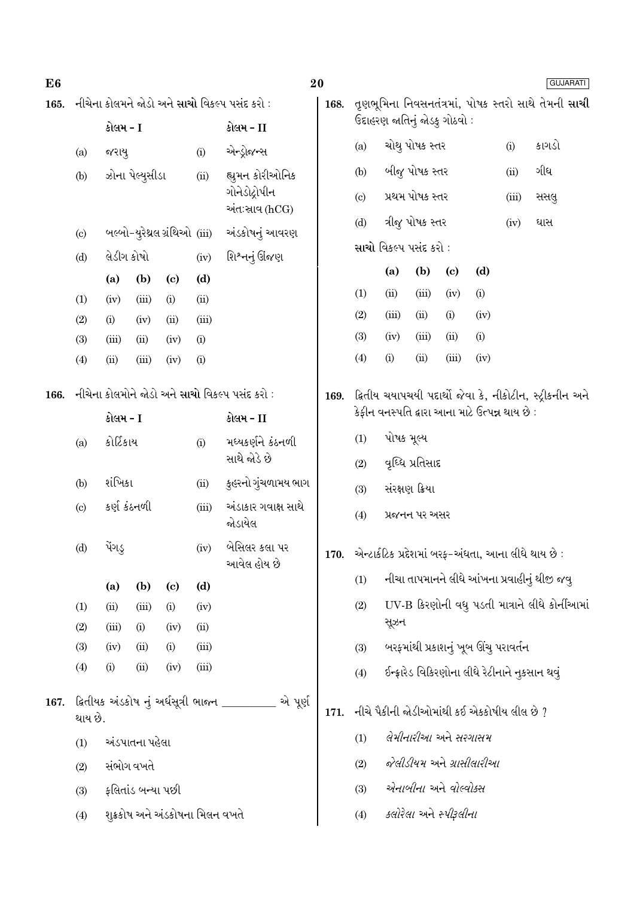| E <sub>6</sub>                         |                                                            |                              |                   |                             |                                                                    |                                                          | 20<br><b>GUJARATI</b>                                    |                                                        |                                                                                        |                                                |       |       |      |                                              |
|----------------------------------------|------------------------------------------------------------|------------------------------|-------------------|-----------------------------|--------------------------------------------------------------------|----------------------------------------------------------|----------------------------------------------------------|--------------------------------------------------------|----------------------------------------------------------------------------------------|------------------------------------------------|-------|-------|------|----------------------------------------------|
| 165.                                   | નીચેના કોલમને જોડો અને સાચો વિકલ્પ પસંદ કરો :              |                              |                   |                             | તૃણભૂમિના નિવસનતંત્રમાં, પોષક સ્તરો સાથે તેમની <b>સાચી</b><br>168. |                                                          |                                                          |                                                        |                                                                                        |                                                |       |       |      |                                              |
|                                        | કોલમ - I                                                   |                              |                   | કોલમ - II                   |                                                                    |                                                          |                                                          | ઉદાહરણ જાતિનું જોડકુ ગોઠવો :                           |                                                                                        |                                                |       |       |      |                                              |
|                                        | (a)                                                        | જરાયુ<br>(i)                 |                   | એન્ડ્રોજન્સ                 |                                                                    | (a)                                                      |                                                          | ચોથુ પોષક સ્તર                                         |                                                                                        | (i)                                            | કાગડો |       |      |                                              |
|                                        | (b)                                                        |                              | ઝોના પેલ્યુસીડા   |                             | (ii)                                                               | હ્યુમન કોરીઓનિક                                          |                                                          | (b)                                                    |                                                                                        | બીજુ પોષક સ્તર                                 |       |       | (ii) | ગીધ                                          |
|                                        |                                                            | બલ્બો-યુરેથ્રલ ગ્રંથિઓ (iii) |                   |                             | ગોનેડોદ્રોપીન<br>અંત:સાવ (hCG)                                     |                                                          | $\left( \circ \right)$                                   | પ્રથમ પોષક સ્તર                                        |                                                                                        |                                                |       | (iii) | સસલુ |                                              |
|                                        | (c)                                                        |                              |                   |                             | અંડકોષનું આવરણ                                                     |                                                          | (d)                                                      |                                                        | ત્રીજુ પોષક સ્તર                                                                       |                                                |       | (iv)  | ઘાસ  |                                              |
|                                        | (d)                                                        |                              | લેડીગ કોષો        |                             | (iv)                                                               |                                                          | શિશ્નનું ઊંજણ                                            | સાચો વિકલ્પ પસંદ કરો :                                 |                                                                                        |                                                |       |       |      |                                              |
|                                        |                                                            | (b)<br>(a)                   |                   | $\left( \mathrm{c}\right)$  | (d)                                                                |                                                          |                                                          |                                                        | (d)<br>(a)<br>(b)<br>$\left( \mathbf{c} \right)$                                       |                                                |       |       |      |                                              |
|                                        | (1)                                                        | (iv)                         | (iii)             | (i)                         | (ii)                                                               |                                                          |                                                          | (1)                                                    | (ii)                                                                                   | (iii)                                          | (iv)  | (i)   |      |                                              |
|                                        | (2)                                                        | (i)                          | (iv)              | (ii)                        | (iii)                                                              |                                                          |                                                          | (2)                                                    | (iii)                                                                                  | (ii)                                           | (i)   | (iv)  |      |                                              |
|                                        | (3)                                                        | (iii)                        | (ii)              | (iv)                        | (i)                                                                |                                                          |                                                          | (3)                                                    | (iv)                                                                                   | (iii)                                          | (ii)  | (i)   |      |                                              |
|                                        | (4)                                                        | (ii)                         | (iii)             | (iv)                        | (i)                                                                |                                                          |                                                          | (4)                                                    | (i)                                                                                    | (ii)                                           | (iii) | (iv)  |      |                                              |
| 166.                                   | નીચેના કોલમોને જોડો અને સાચો વિકલ્પ પસંદ કરો :<br>કોલમ - I |                              |                   |                             | 169.                                                               |                                                          | ક્રિતીય ચયાપચયી પદાર્થો જેવા કે, નીકોટીન, સ્ટ્રીકનીન અને |                                                        |                                                                                        |                                                |       |       |      |                                              |
|                                        |                                                            |                              |                   |                             | કોલમ - II                                                          |                                                          | કેફીન વનસ્પતિ દ્વારા આના માટે ઉત્પન્ન થાય છે :           |                                                        |                                                                                        |                                                |       |       |      |                                              |
|                                        | (a)                                                        | કોર્ટિકાય<br>(i)             |                   |                             |                                                                    | મધ્યકર્ણને કંઠનળી<br>સાથે જોડે છે                        | પોષક મૂલ્ય<br>(1)                                        |                                                        |                                                                                        |                                                |       |       |      |                                              |
|                                        |                                                            |                              |                   |                             |                                                                    |                                                          | વૃધ્ધિ પ્રતિસાદ<br>(2)                                   |                                                        |                                                                                        |                                                |       |       |      |                                              |
|                                        | (b)                                                        | શંખિકા                       |                   |                             | (ii)                                                               | કુહરનો ગુંચળામય ભાગ                                      |                                                          | સંરક્ષણ ક્રિયા                                         |                                                                                        |                                                |       |       |      |                                              |
|                                        | (c)                                                        | કર્ણ કંઠનળી                  |                   | (iii)                       | અંડાકાર ગવાક્ષ સાથે<br>જોડાયેલ                                     |                                                          | (4)<br>પ્રજનન પર અસર                                     |                                                        |                                                                                        |                                                |       |       |      |                                              |
|                                        | (d)                                                        | પેંગડુ<br>(iv)               |                   |                             |                                                                    | બેસિલર કલા પર<br>આવેલ હોય છે                             |                                                          | 170. એન્ટાર્કટિક પ્રદેશમાં બરફ-અંધતા, આના લીધે થાય છે: |                                                                                        |                                                |       |       |      |                                              |
|                                        |                                                            | (a)                          | (b)               | $\left( \mathbf{c} \right)$ | (d)                                                                |                                                          |                                                          | (1)                                                    |                                                                                        |                                                |       |       |      | નીચા તાપમાનને લીધે આંખના પ્રવાહીનું થીજી જવુ |
|                                        | (1)                                                        | (ii)                         | (iii)             | (i)                         | (iv)                                                               |                                                          |                                                          | (2)<br>સૂઝન                                            |                                                                                        | UV-B કિરણોની વધુ પડતી માત્રાને લીધે કોર્નીઆમાં |       |       |      |                                              |
|                                        | (2)<br>(3)                                                 | (iii)<br>(iv)                | (i)<br>(ii)       | (iv)<br>(i)                 | (ii)<br>(iii)                                                      |                                                          |                                                          | (3)                                                    |                                                                                        |                                                |       |       |      |                                              |
|                                        | (4)                                                        | (i)                          | (ii)              | (iv)                        | (iii)                                                              |                                                          |                                                          | (4)                                                    | બરફમાંથી પ્રકાશનું ખૂબ ઊંચુ પરાવર્તન<br>ઈન્ફ્રારેડ વિકિરણોના લીધે રેટીનાને નુકસાન થવું |                                                |       |       |      |                                              |
|                                        |                                                            |                              |                   |                             |                                                                    |                                                          |                                                          |                                                        |                                                                                        |                                                |       |       |      |                                              |
| 167.                                   | થાય છે.                                                    |                              |                   |                             |                                                                    | ક્ષિતીયક અંડકોષ નું અર્ધસૂત્રી ભાજન _________<br>એ પૂર્ણ | 171.                                                     | નીચે પૈકીની જોડીઓમાંથી કઈ એકકોષીય લીલ છે ?             |                                                                                        |                                                |       |       |      |                                              |
|                                        | (1)                                                        | અંડપાતના પહેલા               |                   |                             |                                                                    |                                                          |                                                          | <i>લેમીનારીઆ</i> અને <i>સરગાસમ</i><br>(1)              |                                                                                        |                                                |       |       |      |                                              |
|                                        | (2)                                                        |                              | સંભોગ વખતે        |                             |                                                                    |                                                          |                                                          | (2)                                                    | જેલીડીયમ અને ગ્રાસીલારીઆ                                                               |                                                |       |       |      |                                              |
|                                        | (3)                                                        |                              | ફલિતાંડ બન્યા પછી |                             |                                                                    |                                                          |                                                          | (3)                                                    |                                                                                        | એનાબીના અને વોલ્વોક્સ                          |       |       |      |                                              |
| શુક્રકોષ અને અંડકોષના મિલન વખતે<br>(4) |                                                            |                              |                   |                             |                                                                    | (4)                                                      |                                                          | <i>કલોરેલા</i> અને <i>સ્પીરૂલીના</i>                   |                                                                                        |                                                |       |       |      |                                              |
|                                        |                                                            |                              |                   |                             |                                                                    |                                                          |                                                          |                                                        |                                                                                        |                                                |       |       |      |                                              |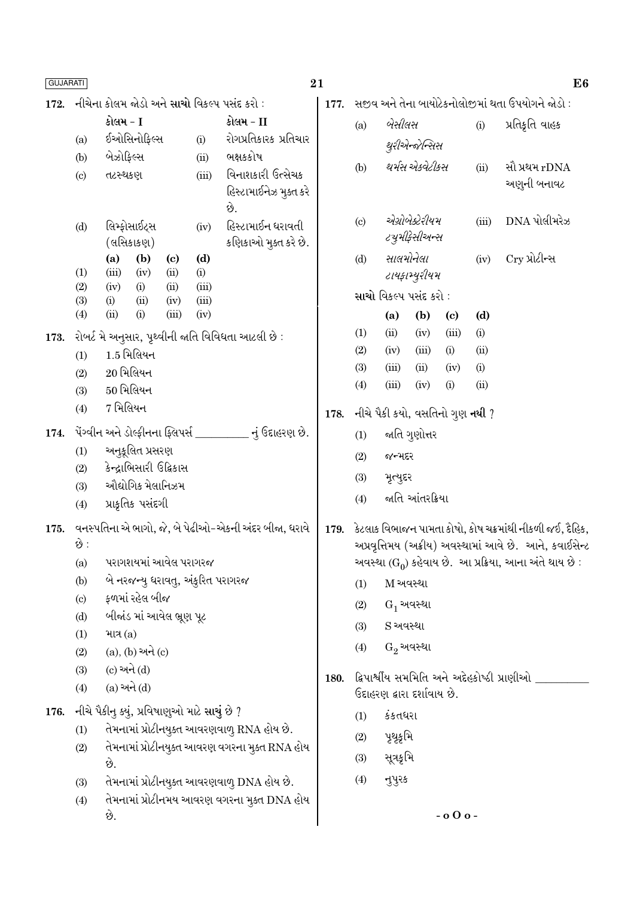| <b>GUJARATI</b>        |                                                                                             |                                                                   | 21             |                                                    |               |                                                                    |                                  |                            |                             | E <sub>6</sub> |                                             |  |
|------------------------|---------------------------------------------------------------------------------------------|-------------------------------------------------------------------|----------------|----------------------------------------------------|---------------|--------------------------------------------------------------------|----------------------------------|----------------------------|-----------------------------|----------------|---------------------------------------------|--|
| 172.                   |                                                                                             | નીચેના કોલમ જોડો અને <mark>સાચો</mark> વિકલ્પ પસંદ કરો :          | 177.           | સજીવ અને તેના બાયોટેકનોલોજીમાં થતા ઉપયોગને જોડો :  |               |                                                                    |                                  |                            |                             |                |                                             |  |
|                        |                                                                                             | કોલમ - I                                                          |                | કોલમ - II                                          |               | (a)                                                                |                                  | બેસીલસ                     |                             |                | પ્રતિક્રતિ વાહક                             |  |
|                        | (a)                                                                                         | ઈઓસિનોફિલ્સ                                                       | (i)            | રોગપ્રતિકારક પ્રતિચાર                              |               |                                                                    |                                  | થુરીએન્જેન્સિસ             |                             |                |                                             |  |
|                        | (b)                                                                                         | બેઝોફિલ્સ                                                         | (ii)           | ભક્ષકકોષ                                           |               | (b)                                                                | થર્મસ એકવેટીકસ                   |                            |                             | (ii)           | સૌ પ્રથમ rDNA                               |  |
|                        | (c)                                                                                         | તટસ્થકણ                                                           | (iii)          | વિનાશકારી ઉત્સેચક<br>હિસ્ટામાઈનેઝ મુક્ત કરે<br>છે. |               |                                                                    |                                  |                            |                             |                | અણુની બનાવટ                                 |  |
|                        | (d)                                                                                         | લિમ્ફોસાઈટ્સ<br>(લસિકાકણ)                                         | (iv)           | હિસ્ટામાઈન ધરાવતી<br>કણિકાઓ મુક્ત કરે છે.          |               | $\left( \mathrm{c}\right)$                                         | એગ્રોબેક્ટેરીયમ<br>ટચુમીફેસીઅન્સ |                            |                             | (iii)          | DNA પોલીમરેઝ                                |  |
|                        | (1)                                                                                         | (b)<br>(a)<br>$\left( \mathrm{c}\right)$<br>(iii)<br>(ii)<br>(iv) | (d)<br>(i)     |                                                    |               | (d)                                                                |                                  | સાલમોનેલા<br>ટાયફામ્યુરીયમ |                             | Cry પ્રોટીન્સ  |                                             |  |
|                        | (2)<br>(3)                                                                                  | (ii)<br>(iv)<br>(i)<br>(ii)<br>(i)<br>(iv)                        | (iii)<br>(iii) |                                                    |               |                                                                    |                                  | સાચો વિકલ્પ પસંદ કરો :     |                             |                |                                             |  |
|                        | (4)                                                                                         | (i)<br>(iii)<br>(ii)                                              | (iv)           |                                                    |               |                                                                    | (a)                              | (b)                        | $\left( \mathbf{c} \right)$ | (d)            |                                             |  |
| 173.                   |                                                                                             | રોબર્ટ મે અનુસાર, પૃથ્વીની જાતિ વિવિધતા આટલી છે :                 |                |                                                    |               | (1)                                                                | (ii)                             | (iv)                       | (iii)                       | (i)            |                                             |  |
|                        | (1)                                                                                         | $1.5$ મિલિયન                                                      |                |                                                    |               | (2)                                                                | (iv)                             | (iii)                      | (i)                         | (ii)           |                                             |  |
|                        | (2)                                                                                         | $20$ મિલિયન                                                       |                |                                                    |               | (3)                                                                | (iii)                            | (ii)                       | (iv)                        | (i)            |                                             |  |
|                        | (3)                                                                                         | $50$ મિલિયન                                                       |                |                                                    |               | (4)                                                                | (iii)                            | (iv)                       | (i)                         | (ii)           |                                             |  |
|                        | (4)                                                                                         | $7$ મિલિયન                                                        |                | 178.                                               |               | નીચે પૈકી કયો, વસતિનો ગુણ <b>નથી</b> ?                             |                                  |                            |                             |                |                                             |  |
| 174.                   | પેંગ્વીન અને ડોલ્ફીનના ફ્લિપર્સ _________ નું ઉદાહરણ છે.                                    |                                                                   |                |                                                    |               | (1)                                                                |                                  | જાતિ ગુણોત્તર              |                             |                |                                             |  |
| અનુકૂલિત પ્રસરણ<br>(1) |                                                                                             |                                                                   |                |                                                    | જન્મદર<br>(2) |                                                                    |                                  |                            |                             |                |                                             |  |
|                        | કેન્દ્રાભિસારી ઉદ્વિકાસ<br>(2)<br>ઔદ્યોગિક મેલાનિઝમ<br>(3)<br>પ્રાકૃતિક પસંદગી<br>(4)       |                                                                   |                |                                                    |               |                                                                    | મૃત્યુદર                         |                            |                             |                |                                             |  |
|                        |                                                                                             |                                                                   |                |                                                    |               | (3)<br>(4)                                                         | જાતિ આંતરક્રિયા                  |                            |                             |                |                                             |  |
| 175.                   |                                                                                             | વનસ્પતિના એ ભાગો, જે, બે પેઢીઓ-એકની અંદર બીજા, ધરાવે              |                |                                                    | 179.          | કેટલાક વિભાજન પામતા કોષો, કોષ ચક્રમાંથી નીકળી જઈ, દૈહિક,           |                                  |                            |                             |                |                                             |  |
|                        | છે :                                                                                        |                                                                   |                |                                                    |               | અપ્રવૃત્તિમય (અક્રીય) અવસ્થામાં આવે છે. આને, કવાઈસેન્ટ             |                                  |                            |                             |                |                                             |  |
|                        | (a)                                                                                         | પરાગશયમાં આવેલ પરાગરજ                                             |                |                                                    |               | અવસ્થા (G <sub>0</sub> ) કહેવાય છે. આ પ્રક્રિયા, આના અંતે થાય છે : |                                  |                            |                             |                |                                             |  |
|                        | (b)                                                                                         | બે નરજન્યુ ધરાવતુ, અંકુરિત પરાગરજ                                 |                |                                                    |               | (1)                                                                | M અવસ્થા                         |                            |                             |                |                                             |  |
|                        | $\left( \mathrm{c}\right)$                                                                  | ફળમાં રહેલ બીજ                                                    |                |                                                    |               | (2)                                                                | $G_1$ અવસ્થા                     |                            |                             |                |                                             |  |
|                        | (d)                                                                                         | બીજાંડ માં આવેલ ભ્રૂણ પૂટ                                         |                |                                                    |               | (3)                                                                | S અવસ્થા                         |                            |                             |                |                                             |  |
|                        | (1)                                                                                         | માત્ર $(a)$                                                       |                |                                                    |               |                                                                    | $G_2$ અવસ્થા                     |                            |                             |                |                                             |  |
|                        | (2)                                                                                         | $(a), (b)$ અને $(c)$                                              |                |                                                    | (4)           |                                                                    |                                  |                            |                             |                |                                             |  |
|                        | (3)                                                                                         | (c) અને (d)                                                       |                |                                                    | 180.          |                                                                    |                                  |                            |                             |                | દ્વિપાર્શ્વીય સમમિતિ અને અદેહકોષ્ઠી પ્રાણીઓ |  |
|                        | (4)                                                                                         | $(a)$ અને $(d)$                                                   |                |                                                    |               | ઉદાહરણ દ્વારા દર્શાવાય છે.                                         |                                  |                            |                             |                |                                             |  |
| 176.                   | નીચે પૈકીનુ ક્યું, પ્રવિષાણુઓ માટે સાચું છે ?<br>તેમનામાં પ્રોટીનયુક્ત આવરણવાળુ RNA હોય છે. |                                                                   |                |                                                    |               | (1)                                                                | કંકતધરા                          |                            |                             |                |                                             |  |
|                        | (1)                                                                                         |                                                                   |                |                                                    |               | (2)                                                                | પૃથૃકૃમિ                         |                            |                             |                |                                             |  |
|                        | (2)                                                                                         | છે.                                                               |                | તેમનામાં પ્રોટીનયુક્ત આવરણ વગરના મુક્ત RNA હોય     |               | (3)                                                                | સૂત્રકૃમિ                        |                            |                             |                |                                             |  |
|                        | (3)                                                                                         | તેમનામાં પ્રોટીનયુક્ત આવરણવાળુ DNA હોય છે.                        |                |                                                    |               | (4)                                                                | નુપુરક                           |                            |                             |                |                                             |  |
|                        | (4)                                                                                         |                                                                   |                | તેમનામાં પ્રોટીનમય આવરણ વગરના મુક્ત DNA હોય        |               |                                                                    |                                  |                            |                             |                |                                             |  |
|                        |                                                                                             | છે.                                                               |                |                                                    |               |                                                                    |                                  |                            | $-$ 0 $0$ o -               |                |                                             |  |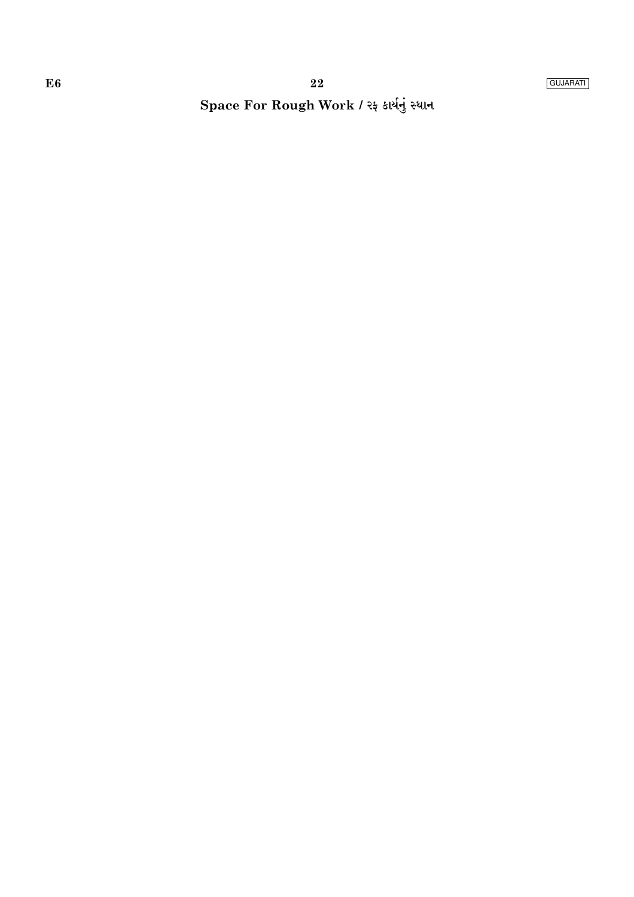# Space For Rough Work / રફ કાર્યનું સ્થાન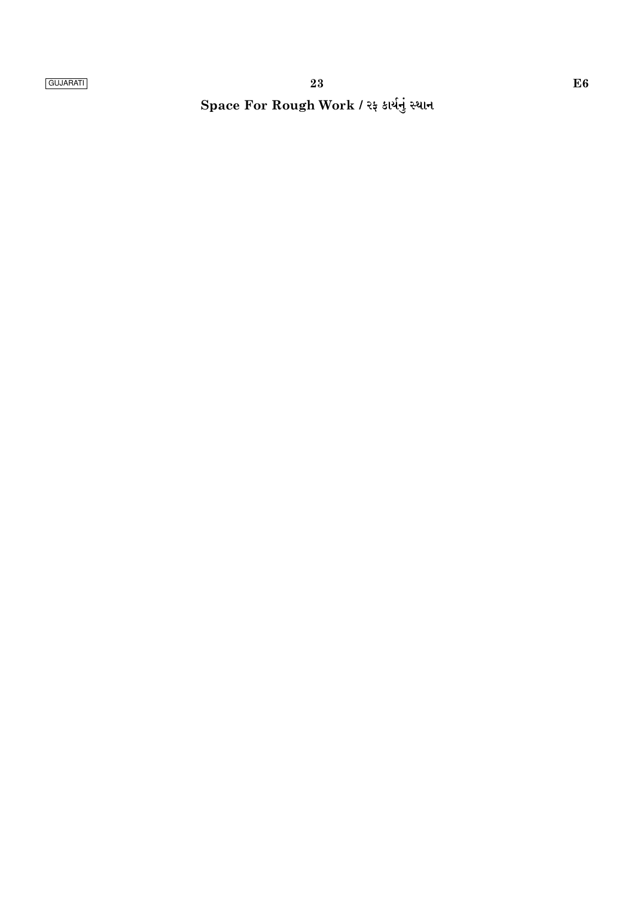Space For Rough Work / રફ કાર્યનું સ્થાન